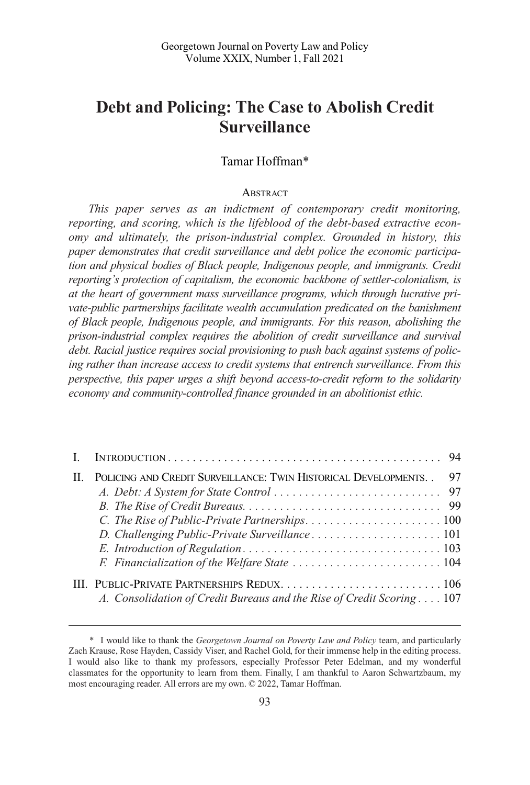# **Debt and Policing: The Case to Abolish Credit Surveillance**

# Tamar Hoffman\*

#### **ABSTRACT**

*This paper serves as an indictment of contemporary credit monitoring, reporting, and scoring, which is the lifeblood of the debt-based extractive economy and ultimately, the prison-industrial complex. Grounded in history, this paper demonstrates that credit surveillance and debt police the economic participation and physical bodies of Black people, Indigenous people, and immigrants. Credit reporting's protection of capitalism, the economic backbone of settler-colonialism, is at the heart of government mass surveillance programs, which through lucrative pri*vate-public partnerships facilitate wealth accumulation predicated on the banishment *of Black people, Indigenous people, and immigrants. For this reason, abolishing the prison-industrial complex requires the abolition of credit surveillance and survival debt. Racial justice requires social provisioning to push back against systems of policing rather than increase access to credit systems that entrench surveillance. From this perspective, this paper urges a shift beyond access-to-credit reform to the solidarity economy and community-controlled finance grounded in an abolitionist ethic.* 

| $\mathbf{H}$ | POLICING AND CREDIT SURVEILLANCE: TWIN HISTORICAL DEVELOPMENTS. .      | 97 |
|--------------|------------------------------------------------------------------------|----|
|              |                                                                        |    |
|              |                                                                        |    |
|              |                                                                        |    |
|              |                                                                        |    |
|              |                                                                        |    |
|              |                                                                        |    |
|              |                                                                        |    |
|              | A. Consolidation of Credit Bureaus and the Rise of Credit Scoring  107 |    |

<sup>\*</sup> I would like to thank the *Georgetown Journal on Poverty Law and Policy* team, and particularly Zach Krause, Rose Hayden, Cassidy Viser, and Rachel Gold, for their immense help in the editing process. I would also like to thank my professors, especially Professor Peter Edelman, and my wonderful classmates for the opportunity to learn from them. Finally, I am thankful to Aaron Schwartzbaum, my most encouraging reader. All errors are my own. © 2022, Tamar Hoffman.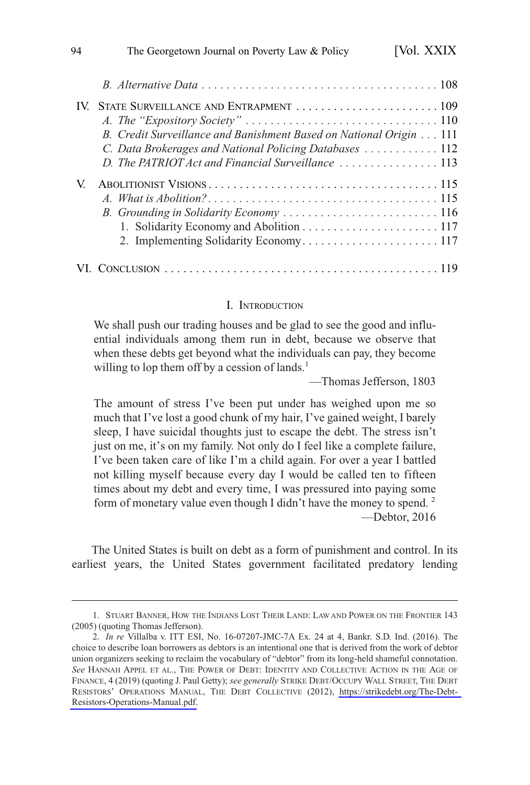<span id="page-1-0"></span>

|    | B. Credit Surveillance and Banishment Based on National Origin 111 |
|----|--------------------------------------------------------------------|
|    | C. Data Brokerages and National Policing Databases  112            |
|    | D. The PATRIOT Act and Financial Surveillance  113                 |
| V. |                                                                    |
|    |                                                                    |
|    |                                                                    |
|    |                                                                    |
|    |                                                                    |
|    |                                                                    |

#### I. INTRODUCTION

We shall push our trading houses and be glad to see the good and influential individuals among them run in debt, because we observe that when these debts get beyond what the individuals can pay, they become willing to lop them off by a cession of lands.<sup>1</sup>

—Thomas Jefferson, 1803

The amount of stress I've been put under has weighed upon me so much that I've lost a good chunk of my hair, I've gained weight, I barely sleep, I have suicidal thoughts just to escape the debt. The stress isn't just on me, it's on my family. Not only do I feel like a complete failure, I've been taken care of like I'm a child again. For over a year I battled not killing myself because every day I would be called ten to fifteen times about my debt and every time, I was pressured into paying some form of monetary value even though I didn't have the money to spend. 2 —Debtor, 2016

The United States is built on debt as a form of punishment and control. In its earliest years, the United States government facilitated predatory lending

<sup>1.</sup> STUART BANNER, HOW THE INDIANS LOST THEIR LAND: LAW AND POWER ON THE FRONTIER 143 (2005) (quoting Thomas Jefferson).

*In re* Villalba v. ITT ESI, No. 16-07207-JMC-7A Ex. 24 at 4, Bankr. S.D. Ind. (2016). The 2. choice to describe loan borrowers as debtors is an intentional one that is derived from the work of debtor union organizers seeking to reclaim the vocabulary of "debtor" from its long-held shameful connotation. *See* HANNAH APPEL ET AL., THE POWER OF DEBT: IDENTITY AND COLLECTIVE ACTION IN THE AGE OF FINANCE, 4 (2019) (quoting J. Paul Getty); *see generally* STRIKE DEBT/OCCUPY WALL STREET, THE DEBT RESISTORS' OPERATIONS MANUAL, THE DEBT COLLECTIVE (2012), [https://strikedebt.org/The-Debt-](https://strikedebt.org/The-Debt-Resistors-Operations-Manual.pdf)[Resistors-Operations-Manual.pdf.](https://strikedebt.org/The-Debt-Resistors-Operations-Manual.pdf)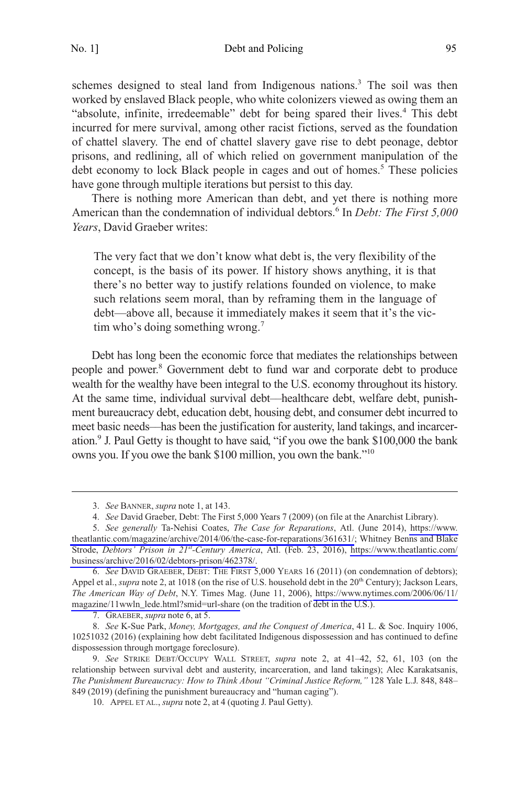No. 1] Debt and Policing 95

schemes designed to steal land from Indigenous nations.<sup>3</sup> The soil was then worked by enslaved Black people, who white colonizers viewed as owing them an "absolute, infinite, irredeemable" debt for being spared their lives.<sup>4</sup> This debt incurred for mere survival, among other racist fictions, served as the foundation of chattel slavery. The end of chattel slavery gave rise to debt peonage, debtor prisons, and redlining, all of which relied on government manipulation of the debt economy to lock Black people in cages and out of homes.<sup>5</sup> These policies have gone through multiple iterations but persist to this day.

There is nothing more American than debt, and yet there is nothing more American than the condemnation of individual debtors.<sup>6</sup> In *Debt: The First 5,000 Years*, David Graeber writes:

The very fact that we don't know what debt is, the very flexibility of the concept, is the basis of its power. If history shows anything, it is that there's no better way to justify relations founded on violence, to make such relations seem moral, than by reframing them in the language of debt—above all, because it immediately makes it seem that it's the victim who's doing something wrong.<sup>7</sup>

Debt has long been the economic force that mediates the relationships between people and power.8 Government debt to fund war and corporate debt to produce wealth for the wealthy have been integral to the U.S. economy throughout its history. At the same time, individual survival debt––healthcare debt, welfare debt, punishment bureaucracy debt, education debt, housing debt, and consumer debt incurred to meet basic needs––has been the justification for austerity, land takings, and incarceration.9 J. Paul Getty is thought to have said, "if you owe the bank \$100,000 the bank owns you. If you owe the bank \$100 million, you own the bank."<sup>10</sup>

<sup>3.</sup> *See* BANNER, *supra* note 1, at 143.

<sup>4.</sup> *See* David Graeber, Debt: The First 5,000 Years 7 (2009) (on file at the Anarchist Library).

*See generally* Ta-Nehisi Coates, *The Case for Reparations*, Atl. (June 2014), [https://www.](https://www.theatlantic.com/magazine/archive/2014/06/the-case-for-reparations/361631/)  5. [theatlantic.com/magazine/archive/2014/06/the-case-for-reparations/361631/](https://www.theatlantic.com/magazine/archive/2014/06/the-case-for-reparations/361631/); Whitney Benns and Blake Strode, *Debtors' Prison in 21st-Century America*, Atl. (Feb. 23, 2016), [https://www.theatlantic.com/](https://www.theatlantic.com/business/archive/2016/02/debtors-prison/462378/)  [business/archive/2016/02/debtors-prison/462378/.](https://www.theatlantic.com/business/archive/2016/02/debtors-prison/462378/)

*See* DAVID GRAEBER, DEBT: THE FIRST 5,000 YEARS 16 (2011) (on condemnation of debtors); 6. Appel et al., *supra* note 2, at 1018 (on the rise of U.S. household debt in the 20<sup>th</sup> Century); Jackson Lears, *The American Way of Debt*, N.Y. Times Mag. (June 11, 2006), [https://www.nytimes.com/2006/06/11/](https://www.nytimes.com/2006/06/11/magazine/11wwln_lede.html?smid=url-share)  [magazine/11wwln\\_lede.html?smid=url-share](https://www.nytimes.com/2006/06/11/magazine/11wwln_lede.html?smid=url-share) (on the tradition of debt in the U.S.).

<sup>7.</sup> GRAEBER, *supra* note 6, at 5.

<sup>8.</sup> *See* K-Sue Park, *Money, Mortgages, and the Conquest of America*, 41 L. & Soc. Inquiry 1006, 10251032 (2016) (explaining how debt facilitated Indigenous dispossession and has continued to define dispossession through mortgage foreclosure).

<sup>9.</sup> *See* STRIKE DEBT/OCCUPY WALL STREET, *supra* note 2, at 41–42, 52, 61, 103 (on the relationship between survival debt and austerity, incarceration, and land takings); Alec Karakatsanis, *The Punishment Bureaucracy: How to Think About "Criminal Justice Reform,"* 128 Yale L.J. 848, 848– 849 (2019) (defining the punishment bureaucracy and "human caging").

<sup>10.</sup> APPEL ET AL., *supra* note 2, at 4 (quoting J. Paul Getty).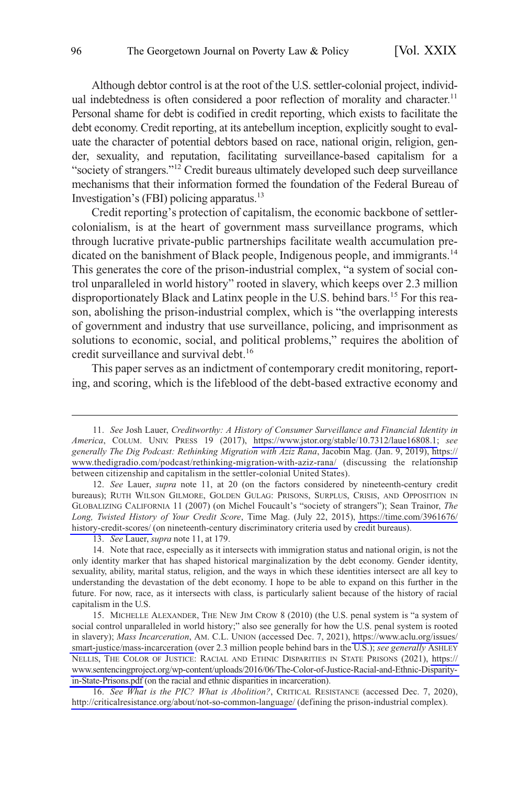Although debtor control is at the root of the U.S. settler-colonial project, individual indebtedness is often considered a poor reflection of morality and character.<sup>11</sup> Personal shame for debt is codified in credit reporting, which exists to facilitate the debt economy. Credit reporting, at its antebellum inception, explicitly sought to evaluate the character of potential debtors based on race, national origin, religion, gender, sexuality, and reputation, facilitating surveillance-based capitalism for a "society of strangers."<sup>12</sup> Credit bureaus ultimately developed such deep surveillance mechanisms that their information formed the foundation of the Federal Bureau of Investigation's (FBI) policing apparatus.13

Credit reporting's protection of capitalism, the economic backbone of settlercolonialism, is at the heart of government mass surveillance programs, which through lucrative private-public partnerships facilitate wealth accumulation predicated on the banishment of Black people, Indigenous people, and immigrants.<sup>14</sup> This generates the core of the prison-industrial complex, "a system of social control unparalleled in world history" rooted in slavery, which keeps over 2.3 million disproportionately Black and Latinx people in the U.S. behind bars.<sup>15</sup> For this reason, abolishing the prison-industrial complex, which is "the overlapping interests of government and industry that use surveillance, policing, and imprisonment as solutions to economic, social, and political problems," requires the abolition of credit surveillance and survival debt.<sup>16</sup>

This paper serves as an indictment of contemporary credit monitoring, reporting, and scoring, which is the lifeblood of the debt-based extractive economy and

*See* Josh Lauer, *Creditworthy: A History of Consumer Surveillance and Financial Identity in*  11. *America*, COLUM. UNIV. PRESS 19 (2017), [https://www.jstor.org/stable/10.7312/laue16808.1;](https://www.jstor.org/stable/10.7312/laue16808.1) *see generally The Dig Podcast: Rethinking Migration with Aziz Rana*, Jacobin Mag. (Jan. 9, 2019), [https://](https://www.thedigradio.com/podcast/rethinking-migration-with-aziz-rana/) [www.thedigradio.com/podcast/rethinking-migration-with-aziz-rana/](https://www.thedigradio.com/podcast/rethinking-migration-with-aziz-rana/) (discussing the relationship between citizenship and capitalism in the settler-colonial United States).

<sup>12.</sup> See Lauer, *supra* note 11, at 20 (on the factors considered by nineteenth-century credit bureaus); RUTH WILSON GILMORE, GOLDEN GULAG: PRISONS, SURPLUS, CRISIS, AND OPPOSITION IN GLOBALIZING CALIFORNIA 11 (2007) (on Michel Foucault's "society of strangers"); Sean Trainor, *The Long, Twisted History of Your Credit Score*, Time Mag. (July 22, 2015), [https://time.com/3961676/](https://time.com/3961676/history-credit-scores/) [history-credit-scores/](https://time.com/3961676/history-credit-scores/) (on nineteenth-century discriminatory criteria used by credit bureaus).

<sup>13.</sup> *See* Lauer, *supra* note 11, at 179.

<sup>14.</sup> Note that race, especially as it intersects with immigration status and national origin, is not the only identity marker that has shaped historical marginalization by the debt economy. Gender identity, sexuality, ability, marital status, religion, and the ways in which these identities intersect are all key to understanding the devastation of the debt economy. I hope to be able to expand on this further in the future. For now, race, as it intersects with class, is particularly salient because of the history of racial capitalism in the U.S.

<sup>15.</sup> MICHELLE ALEXANDER, THE NEW JIM CROW 8 (2010) (the U.S. penal system is "a system of social control unparalleled in world history;" also see generally for how the U.S. penal system is rooted in slavery); *Mass Incarceration*, AM. C.L. UNION (accessed Dec. 7, 2021), [https://www.aclu.org/issues/](https://www.aclu.org/issues/smart-justice/mass-incarceration)  [smart-justice/mass-incarceration](https://www.aclu.org/issues/smart-justice/mass-incarceration) (over 2.3 million people behind bars in the U.S.); *see generally* ASHLEY NELLIS, THE COLOR OF JUSTICE: RACIAL AND ETHNIC DISPARITIES IN STATE PRISONS (2021), [https://](https://www.sentencingproject.org/wp-content/uploads/2016/06/The-Color-of-Justice-Racial-and-Ethnic-Disparity-in-State-Prisons.pdf)  [www.sentencingproject.org/wp-content/uploads/2016/06/The-Color-of-Justice-Racial-and-Ethnic-Disparity](https://www.sentencingproject.org/wp-content/uploads/2016/06/The-Color-of-Justice-Racial-and-Ethnic-Disparity-in-State-Prisons.pdf)[in-State-Prisons.pdf](https://www.sentencingproject.org/wp-content/uploads/2016/06/The-Color-of-Justice-Racial-and-Ethnic-Disparity-in-State-Prisons.pdf) (on the racial and ethnic disparities in incarceration).

<sup>16.</sup> See What is the PIC? What is Abolition?, CRITICAL RESISTANCE (accessed Dec. 7, 2020), <http://criticalresistance.org/about/not-so-common-language/>(defining the prison-industrial complex).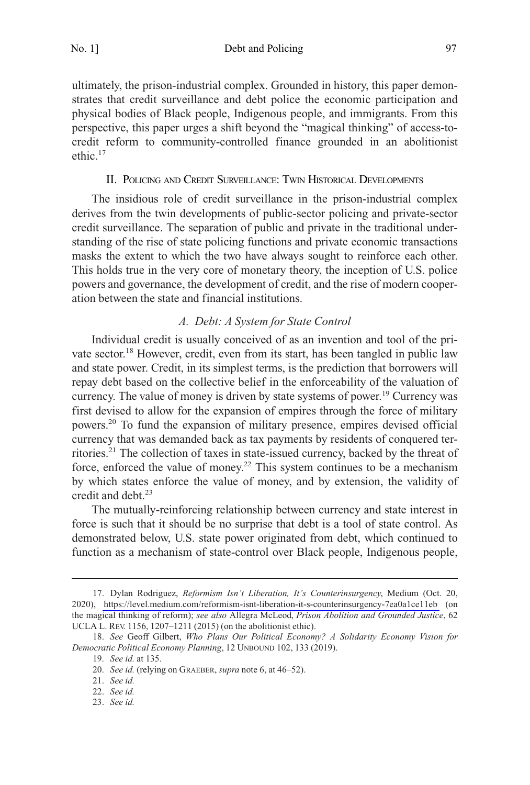<span id="page-4-0"></span>No. 1] Debt and Policing 97

ultimately, the prison-industrial complex. Grounded in history, this paper demonstrates that credit surveillance and debt police the economic participation and physical bodies of Black people, Indigenous people, and immigrants. From this perspective, this paper urges a shift beyond the "magical thinking" of access-tocredit reform to community-controlled finance grounded in an abolitionist ethic.17

# II. POLICING AND CREDIT SURVEILLANCE: TWIN HISTORICAL DEVELOPMENTS

The insidious role of credit surveillance in the prison-industrial complex derives from the twin developments of public-sector policing and private-sector credit surveillance. The separation of public and private in the traditional understanding of the rise of state policing functions and private economic transactions masks the extent to which the two have always sought to reinforce each other. This holds true in the very core of monetary theory, the inception of U.S. police powers and governance, the development of credit, and the rise of modern cooperation between the state and financial institutions.

#### *A. Debt: A System for State Control*

Individual credit is usually conceived of as an invention and tool of the private sector.18 However, credit, even from its start, has been tangled in public law and state power. Credit, in its simplest terms, is the prediction that borrowers will repay debt based on the collective belief in the enforceability of the valuation of currency. The value of money is driven by state systems of power.<sup>19</sup> Currency was first devised to allow for the expansion of empires through the force of military powers.20 To fund the expansion of military presence, empires devised official currency that was demanded back as tax payments by residents of conquered territories.21 The collection of taxes in state-issued currency, backed by the threat of force, enforced the value of money.<sup>22</sup> This system continues to be a mechanism by which states enforce the value of money, and by extension, the validity of credit and debt.<sup>23</sup>

The mutually-reinforcing relationship between currency and state interest in force is such that it should be no surprise that debt is a tool of state control. As demonstrated below, U.S. state power originated from debt, which continued to function as a mechanism of state-control over Black people, Indigenous people,

Dylan Rodriguez, *Reformism Isn't Liberation, It's Counterinsurgency*, Medium (Oct. 20, 17. 2020), <https://level.medium.com/reformism-isnt-liberation-it-s-counterinsurgency-7ea0a1ce11eb>(on the magical thinking of reform); *see also* Allegra McLeod, *Prison Abolition and Grounded Justice*, 62 UCLA L. REV. 1156, 1207–1211 (2015) (on the abolitionist ethic).

<sup>18.</sup> *See* Geoff Gilbert, *Who Plans Our Political Economy? A Solidarity Economy Vision for Democratic Political Economy Planning*, 12 UNBOUND 102, 133 (2019).

<sup>19.</sup> *See id.* at 135.

<sup>20.</sup> *See id.* (relying on GRAEBER, *supra* note 6, at 46–52).

<sup>21.</sup> *See id.* 

<sup>22.</sup> *See id.* 

<sup>23.</sup> *See id.*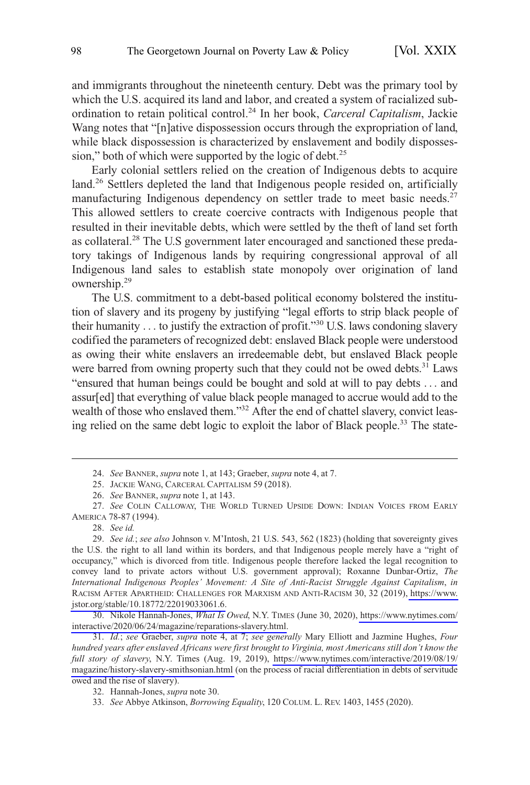and immigrants throughout the nineteenth century. Debt was the primary tool by which the U.S. acquired its land and labor, and created a system of racialized subordination to retain political control.24 In her book, *Carceral Capitalism*, Jackie Wang notes that "[n]ative dispossession occurs through the expropriation of land, while black dispossession is characterized by enslavement and bodily dispossession," both of which were supported by the logic of debt. $2<sup>5</sup>$ 

Early colonial settlers relied on the creation of Indigenous debts to acquire land.<sup>26</sup> Settlers depleted the land that Indigenous people resided on, artificially manufacturing Indigenous dependency on settler trade to meet basic needs.<sup>27</sup> This allowed settlers to create coercive contracts with Indigenous people that resulted in their inevitable debts, which were settled by the theft of land set forth as collateral.28 The U.S government later encouraged and sanctioned these predatory takings of Indigenous lands by requiring congressional approval of all Indigenous land sales to establish state monopoly over origination of land ownership.29

The U.S. commitment to a debt-based political economy bolstered the institution of slavery and its progeny by justifying "legal efforts to strip black people of their humanity . . . to justify the extraction of profit."<sup>30</sup> U.S. laws condoning slavery codified the parameters of recognized debt: enslaved Black people were understood as owing their white enslavers an irredeemable debt, but enslaved Black people were barred from owning property such that they could not be owed debts.<sup>31</sup> Laws "ensured that human beings could be bought and sold at will to pay debts . . . and assur[ed] that everything of value black people managed to accrue would add to the wealth of those who enslaved them."<sup>32</sup> After the end of chattel slavery, convict leasing relied on the same debt logic to exploit the labor of Black people.33 The state-

<sup>24.</sup> *See* BANNER, *supra* note 1, at 143; Graeber, *supra* note 4, at 7.

<sup>25.</sup> JACKIE WANG, CARCERAL CAPITALISM 59 (2018).

<sup>26.</sup> *See* BANNER, *supra* note 1, at 143.

<sup>27.</sup> *See* COLIN CALLOWAY, THE WORLD TURNED UPSIDE DOWN: INDIAN VOICES FROM EARLY AMERICA 78-87 (1994).

<sup>28.</sup> *See id.* 

*See id.*; *see also* Johnson v. M'Intosh, 21 U.S. 543, 562 (1823) (holding that sovereignty gives 29. the U.S. the right to all land within its borders, and that Indigenous people merely have a "right of occupancy," which is divorced from title. Indigenous people therefore lacked the legal recognition to convey land to private actors without U.S. government approval); Roxanne Dunbar-Ortiz, *The International Indigenous Peoples' Movement: A Site of Anti-Racist Struggle Against Capitalism*, *in*  RACISM AFTER APARTHEID: CHALLENGES FOR MARXISM AND ANTI-RACISM 30, 32 (2019), [https://www.](https://www.jstor.org/stable/10.18772/22019033061.6)  [jstor.org/stable/10.18772/22019033061.6.](https://www.jstor.org/stable/10.18772/22019033061.6)

<sup>30.</sup> Nikole Hannah-Jones, *What Is Owed*, N.Y. TIMES (June 30, 2020), https://www.nytimes.com/ [interactive/2020/06/24/magazine/reparations-slavery.html.](https://www.nytimes.com/interactive/2020/06/24/magazine/reparations-slavery.html)

*Id.*; *see* Graeber, *supra* note 4, at 7; *see generally* Mary Elliott and Jazmine Hughes, *Four*  31. *hundred years after enslaved Africans were first brought to Virginia, most Americans still don't know the full story of slavery*, N.Y. Times (Aug. 19, 2019), [https://www.nytimes.com/interactive/2019/08/19/](https://www.nytimes.com/interactive/2019/08/19/magazine/history-slavery-smithsonian.html) [magazine/history-slavery-smithsonian.html](https://www.nytimes.com/interactive/2019/08/19/magazine/history-slavery-smithsonian.html) (on the process of racial differentiation in debts of servitude owed and the rise of slavery).

<sup>32.</sup> Hannah-Jones, *supra* note 30.

<sup>33.</sup> *See* Abbye Atkinson, *Borrowing Equality*, 120 COLUM. L. REV. 1403, 1455 (2020).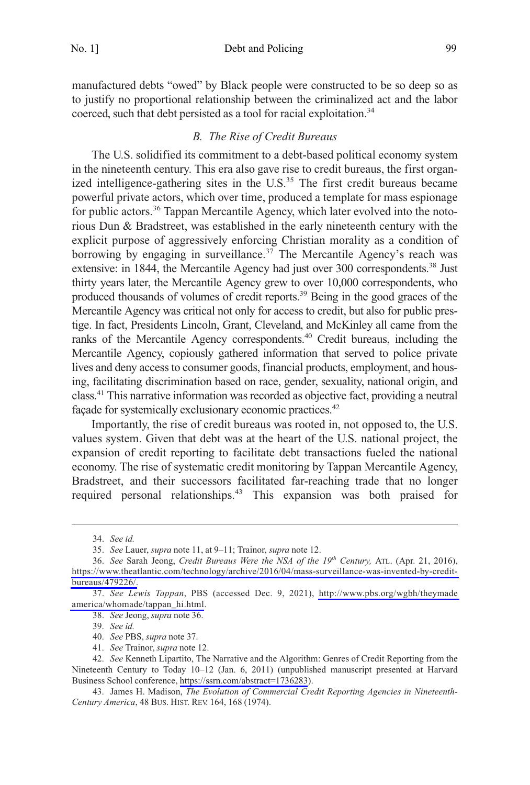<span id="page-6-0"></span>manufactured debts "owed" by Black people were constructed to be so deep so as to justify no proportional relationship between the criminalized act and the labor coerced, such that debt persisted as a tool for racial exploitation.<sup>34</sup>

## *B. The Rise of Credit Bureaus*

The U.S. solidified its commitment to a debt-based political economy system in the nineteenth century. This era also gave rise to credit bureaus, the first organized intelligence-gathering sites in the U.S.<sup>35</sup> The first credit bureaus became powerful private actors, which over time, produced a template for mass espionage for public actors.<sup>36</sup> Tappan Mercantile Agency, which later evolved into the notorious Dun & Bradstreet, was established in the early nineteenth century with the explicit purpose of aggressively enforcing Christian morality as a condition of borrowing by engaging in surveillance.<sup>37</sup> The Mercantile Agency's reach was extensive: in 1844, the Mercantile Agency had just over 300 correspondents.<sup>38</sup> Just thirty years later, the Mercantile Agency grew to over 10,000 correspondents, who produced thousands of volumes of credit reports.39 Being in the good graces of the Mercantile Agency was critical not only for access to credit, but also for public prestige. In fact, Presidents Lincoln, Grant, Cleveland, and McKinley all came from the ranks of the Mercantile Agency correspondents.<sup>40</sup> Credit bureaus, including the Mercantile Agency, copiously gathered information that served to police private lives and deny access to consumer goods, financial products, employment, and housing, facilitating discrimination based on race, gender, sexuality, national origin, and class.41 This narrative information was recorded as objective fact, providing a neutral façade for systemically exclusionary economic practices.<sup>42</sup>

Importantly, the rise of credit bureaus was rooted in, not opposed to, the U.S. values system. Given that debt was at the heart of the U.S. national project, the expansion of credit reporting to facilitate debt transactions fueled the national economy. The rise of systematic credit monitoring by Tappan Mercantile Agency, Bradstreet, and their successors facilitated far-reaching trade that no longer required personal relationships.<sup>43</sup> This expansion was both praised for

<sup>34.</sup> *See id.* 

<sup>35.</sup> *See* Lauer, *supra* note 11, at 9–11; Trainor, *supra* note 12.

<sup>36.</sup> See Sarah Jeong, *Credit Bureaus Were the NSA of the 19<sup>th</sup> Century*, ATL. (Apr. 21, 2016), [https://www.theatlantic.com/technology/archive/2016/04/mass-surveillance-was-invented-by-credit](https://www.theatlantic.com/technology/archive/2016/04/mass-surveillance-was-invented-by-credit-bureaus/479226/)[bureaus/479226/.](https://www.theatlantic.com/technology/archive/2016/04/mass-surveillance-was-invented-by-credit-bureaus/479226/)

*See Lewis Tappan*, PBS (accessed Dec. 9, 2021), [http://www.pbs.org/wgbh/theymade](http://www.pbs.org/wgbh/theymadeamerica/whomade/tappan_hi.html)  37. [america/whomade/tappan\\_hi.html](http://www.pbs.org/wgbh/theymadeamerica/whomade/tappan_hi.html).

<sup>38.</sup> *See* Jeong, *supra* note 36.

<sup>39.</sup> *See id.* 

<sup>40.</sup> *See* PBS, *supra* note 37.

<sup>41.</sup> *See* Trainor, *supra* note 12.

*See* Kenneth Lipartito, The Narrative and the Algorithm: Genres of Credit Reporting from the 42. Nineteenth Century to Today 10–12 (Jan. 6, 2011) (unpublished manuscript presented at Harvard Business School conference,<https://ssrn.com/abstract=1736283>).

<sup>43.</sup> James H. Madison, *The Evolution of Commercial Credit Reporting Agencies in Nineteenth-Century America*, 48 BUS. HIST. REV. 164, 168 (1974).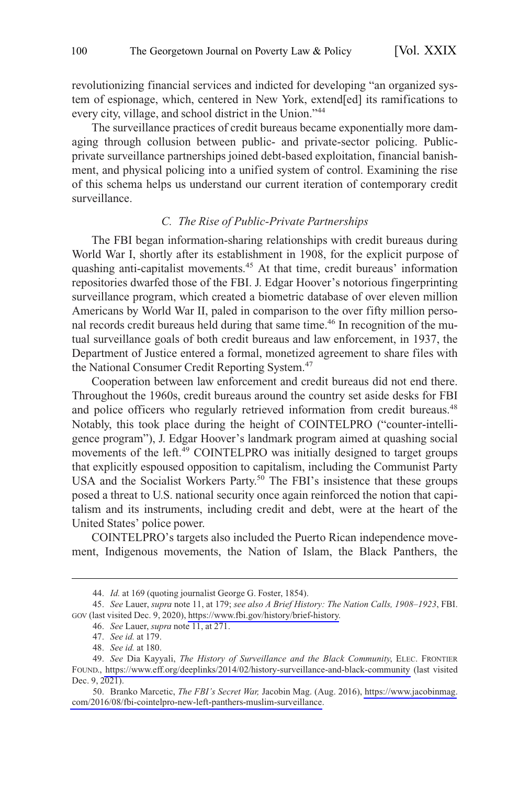<span id="page-7-0"></span>revolutionizing financial services and indicted for developing "an organized system of espionage, which, centered in New York, extend[ed] its ramifications to every city, village, and school district in the Union."<sup>44</sup>

The surveillance practices of credit bureaus became exponentially more damaging through collusion between public- and private-sector policing. Publicprivate surveillance partnerships joined debt-based exploitation, financial banishment, and physical policing into a unified system of control. Examining the rise of this schema helps us understand our current iteration of contemporary credit surveillance.

#### *C. The Rise of Public-Private Partnerships*

The FBI began information-sharing relationships with credit bureaus during World War I, shortly after its establishment in 1908, for the explicit purpose of quashing anti-capitalist movements.<sup>45</sup> At that time, credit bureaus' information repositories dwarfed those of the FBI. J. Edgar Hoover's notorious fingerprinting surveillance program, which created a biometric database of over eleven million Americans by World War II, paled in comparison to the over fifty million personal records credit bureaus held during that same time.<sup>46</sup> In recognition of the mutual surveillance goals of both credit bureaus and law enforcement, in 1937, the Department of Justice entered a formal, monetized agreement to share files with the National Consumer Credit Reporting System.<sup>47</sup>

Cooperation between law enforcement and credit bureaus did not end there. Throughout the 1960s, credit bureaus around the country set aside desks for FBI and police officers who regularly retrieved information from credit bureaus.<sup>48</sup> Notably, this took place during the height of COINTELPRO ("counter-intelligence program"), J. Edgar Hoover's landmark program aimed at quashing social movements of the left.<sup>49</sup> COINTELPRO was initially designed to target groups that explicitly espoused opposition to capitalism, including the Communist Party USA and the Socialist Workers Party.<sup>50</sup> The FBI's insistence that these groups posed a threat to U.S. national security once again reinforced the notion that capitalism and its instruments, including credit and debt, were at the heart of the United States' police power.

COINTELPRO's targets also included the Puerto Rican independence movement, Indigenous movements, the Nation of Islam, the Black Panthers, the

<sup>44.</sup> *Id.* at 169 (quoting journalist George G. Foster, 1854).

*See* Lauer, *supra* note 11, at 179; *see also A Brief History: The Nation Calls, 1908–1923*, FBI. 45. GOV (last visited Dec. 9, 2020), [https://www.fbi.gov/history/brief-history.](https://www.fbi.gov/history/brief-history)

<sup>46.</sup> *See* Lauer, *supra* note 11, at 271.

<sup>47.</sup> *See id.* at 179.

<sup>48.</sup> *See id.* at 180.

*See* Dia Kayyali, *The History of Surveillance and the Black Community*, ELEC. FRONTIER 49. FOUND., <https://www.eff.org/deeplinks/2014/02/history-surveillance-and-black-community>(last visited Dec. 9, 2021).

<sup>50.</sup> Branko Marcetic, *The FBI's Secret War*, Jacobin Mag. (Aug. 2016), [https://www.jacobinmag.](https://www.jacobinmag.com/2016/08/fbi-cointelpro-new-left-panthers-muslim-surveillance) [com/2016/08/fbi-cointelpro-new-left-panthers-muslim-surveillance.](https://www.jacobinmag.com/2016/08/fbi-cointelpro-new-left-panthers-muslim-surveillance)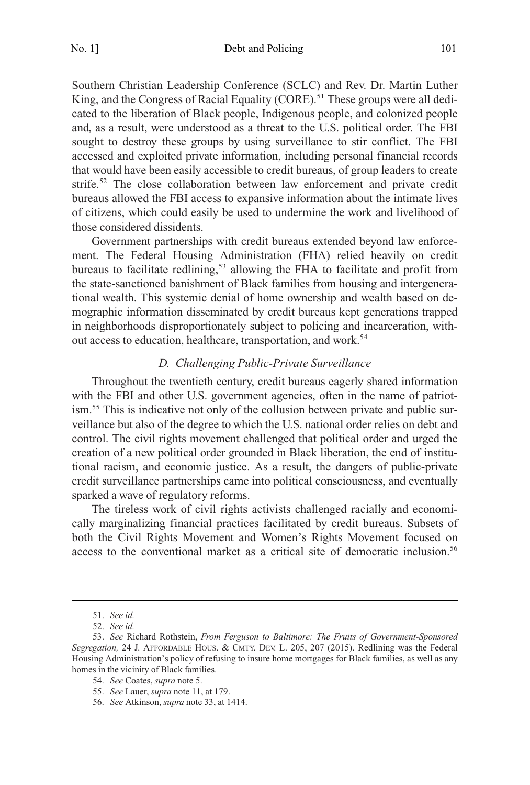<span id="page-8-0"></span>Southern Christian Leadership Conference (SCLC) and Rev. Dr. Martin Luther King, and the Congress of Racial Equality (CORE).<sup>51</sup> These groups were all dedicated to the liberation of Black people, Indigenous people, and colonized people and, as a result, were understood as a threat to the U.S. political order. The FBI sought to destroy these groups by using surveillance to stir conflict. The FBI accessed and exploited private information, including personal financial records that would have been easily accessible to credit bureaus, of group leaders to create strife.<sup>52</sup> The close collaboration between law enforcement and private credit bureaus allowed the FBI access to expansive information about the intimate lives of citizens, which could easily be used to undermine the work and livelihood of those considered dissidents.

Government partnerships with credit bureaus extended beyond law enforcement. The Federal Housing Administration (FHA) relied heavily on credit bureaus to facilitate redlining,<sup>53</sup> allowing the FHA to facilitate and profit from the state-sanctioned banishment of Black families from housing and intergenerational wealth. This systemic denial of home ownership and wealth based on demographic information disseminated by credit bureaus kept generations trapped in neighborhoods disproportionately subject to policing and incarceration, without access to education, healthcare, transportation, and work.<sup>54</sup>

## *D. Challenging Public-Private Surveillance*

Throughout the twentieth century, credit bureaus eagerly shared information with the FBI and other U.S. government agencies, often in the name of patriotism.55 This is indicative not only of the collusion between private and public surveillance but also of the degree to which the U.S. national order relies on debt and control. The civil rights movement challenged that political order and urged the creation of a new political order grounded in Black liberation, the end of institutional racism, and economic justice. As a result, the dangers of public-private credit surveillance partnerships came into political consciousness, and eventually sparked a wave of regulatory reforms.

The tireless work of civil rights activists challenged racially and economically marginalizing financial practices facilitated by credit bureaus. Subsets of both the Civil Rights Movement and Women's Rights Movement focused on access to the conventional market as a critical site of democratic inclusion.56

<sup>51.</sup> *See id.* 

<sup>52.</sup> *See id.* 

<sup>53.</sup> *See* Richard Rothstein, *From Ferguson to Baltimore: The Fruits of Government-Sponsored Segregation,* 24 J. AFFORDABLE HOUS. & CMTY. DEV. L. 205, 207 (2015). Redlining was the Federal Housing Administration's policy of refusing to insure home mortgages for Black families, as well as any homes in the vicinity of Black families.

<sup>54.</sup> *See* Coates, *supra* note 5.

<sup>55.</sup> *See* Lauer, *supra* note 11, at 179.

<sup>56.</sup> *See* Atkinson, *supra* note 33, at 1414.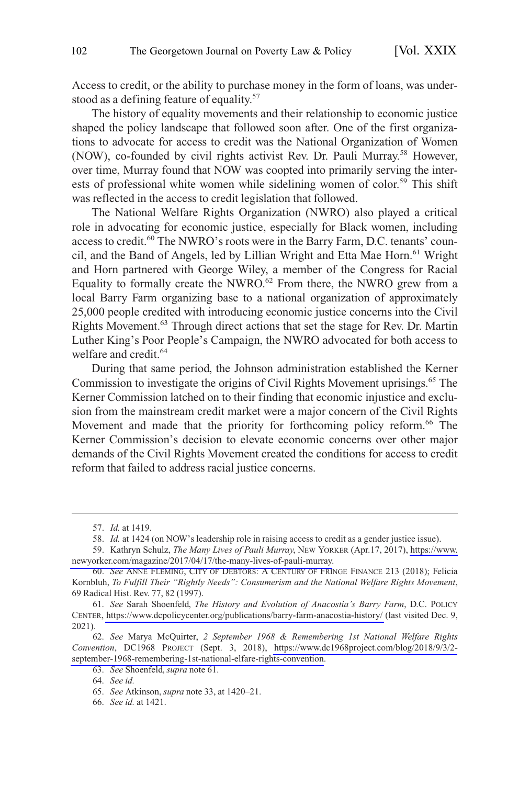Access to credit, or the ability to purchase money in the form of loans, was understood as a defining feature of equality.<sup>57</sup>

The history of equality movements and their relationship to economic justice shaped the policy landscape that followed soon after. One of the first organizations to advocate for access to credit was the National Organization of Women (NOW), co-founded by civil rights activist Rev. Dr. Pauli Murray.<sup>58</sup> However, over time, Murray found that NOW was coopted into primarily serving the interests of professional white women while sidelining women of color.<sup>59</sup> This shift was reflected in the access to credit legislation that followed.

The National Welfare Rights Organization (NWRO) also played a critical role in advocating for economic justice, especially for Black women, including access to credit.60 The NWRO's roots were in the Barry Farm, D.C. tenants' council, and the Band of Angels, led by Lillian Wright and Etta Mae Horn.<sup>61</sup> Wright and Horn partnered with George Wiley, a member of the Congress for Racial Equality to formally create the NWRO.<sup>62</sup> From there, the NWRO grew from a local Barry Farm organizing base to a national organization of approximately 25,000 people credited with introducing economic justice concerns into the Civil Rights Movement.<sup>63</sup> Through direct actions that set the stage for Rev. Dr. Martin Luther King's Poor People's Campaign, the NWRO advocated for both access to welfare and credit.<sup>64</sup>

During that same period, the Johnson administration established the Kerner Commission to investigate the origins of Civil Rights Movement uprisings.<sup>65</sup> The Kerner Commission latched on to their finding that economic injustice and exclusion from the mainstream credit market were a major concern of the Civil Rights Movement and made that the priority for forthcoming policy reform.<sup>66</sup> The Kerner Commission's decision to elevate economic concerns over other major demands of the Civil Rights Movement created the conditions for access to credit reform that failed to address racial justice concerns.

<sup>57.</sup> *Id.* at 1419.

<sup>58.</sup> *Id.* at 1424 (on NOW's leadership role in raising access to credit as a gender justice issue).

<sup>59.</sup> Kathryn Schulz, The Many Lives of Pauli Murray, NEW YORKER (Apr.17, 2017), [https://www.](https://www.newyorker.com/magazine/2017/04/17/the-many-lives-of-pauli-murray) [newyorker.com/magazine/2017/04/17/the-many-lives-of-pauli-murray.](https://www.newyorker.com/magazine/2017/04/17/the-many-lives-of-pauli-murray)

<sup>60.</sup> *See* ANNE FLEMING, CITY OF DEBTORS: A CENTURY OF FRINGE FINANCE 213 (2018); Felicia Kornbluh, *To Fulfill Their "Rightly Needs": Consumerism and the National Welfare Rights Movement*, 69 Radical Hist. Rev. 77, 82 (1997).

*See* Sarah Shoenfeld, *The History and Evolution of Anacostia's Barry Farm*, D.C. POLICY 61. CENTER,<https://www.dcpolicycenter.org/publications/barry-farm-anacostia-history/>(last visited Dec. 9, 2021).

*See* Marya McQuirter, *2 September 1968 & Remembering 1st National Welfare Rights*  62. *Convention*, DC1968 PROJECT (Sept. 3, 2018), [https://www.dc1968project.com/blog/2018/9/3/2](https://www.dc1968project.com/blog/2018/9/3/2-september-1968-remembering-1st-national-elfare-rights-convention)  [september-1968-remembering-1st-national-elfare-rights-convention](https://www.dc1968project.com/blog/2018/9/3/2-september-1968-remembering-1st-national-elfare-rights-convention).

<sup>63.</sup> *See* Shoenfeld, *supra* note 61.

<sup>64.</sup> *See id.* 

<sup>65.</sup> *See* Atkinson, *supra* note 33, at 1420–21.

<sup>66.</sup> *See id.* at 1421.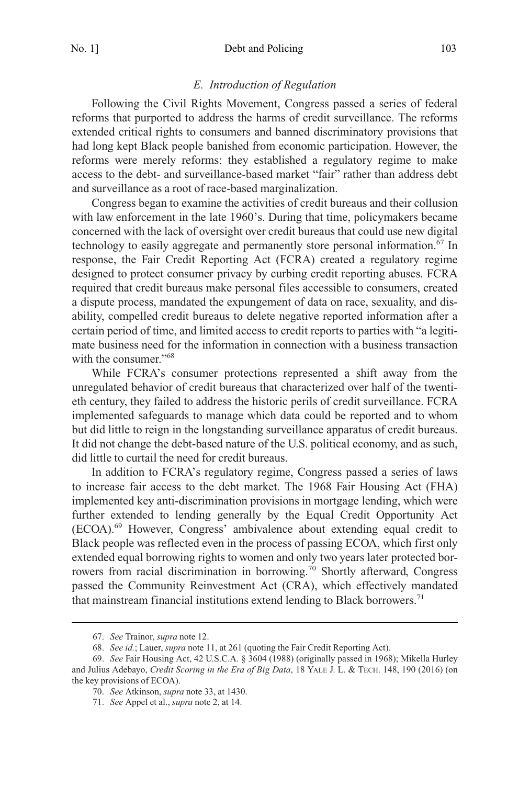#### *E. Introduction of Regulation*

<span id="page-10-0"></span>Following the Civil Rights Movement, Congress passed a series of federal reforms that purported to address the harms of credit surveillance. The reforms extended critical rights to consumers and banned discriminatory provisions that had long kept Black people banished from economic participation. However, the reforms were merely reforms: they established a regulatory regime to make access to the debt- and surveillance-based market "fair" rather than address debt and surveillance as a root of race-based marginalization.

Congress began to examine the activities of credit bureaus and their collusion with law enforcement in the late 1960's. During that time, policymakers became concerned with the lack of oversight over credit bureaus that could use new digital technology to easily aggregate and permanently store personal information.<sup>67</sup> In response, the Fair Credit Reporting Act (FCRA) created a regulatory regime designed to protect consumer privacy by curbing credit reporting abuses. FCRA required that credit bureaus make personal files accessible to consumers, created a dispute process, mandated the expungement of data on race, sexuality, and disability, compelled credit bureaus to delete negative reported information after a certain period of time, and limited access to credit reports to parties with "a legitimate business need for the information in connection with a business transaction with the consumer."<sup>68</sup>

While FCRA's consumer protections represented a shift away from the unregulated behavior of credit bureaus that characterized over half of the twentieth century, they failed to address the historic perils of credit surveillance. FCRA implemented safeguards to manage which data could be reported and to whom but did little to reign in the longstanding surveillance apparatus of credit bureaus. It did not change the debt-based nature of the U.S. political economy, and as such, did little to curtail the need for credit bureaus.

In addition to FCRA's regulatory regime, Congress passed a series of laws to increase fair access to the debt market. The 1968 Fair Housing Act (FHA) implemented key anti-discrimination provisions in mortgage lending, which were further extended to lending generally by the Equal Credit Opportunity Act (ECOA).69 However, Congress' ambivalence about extending equal credit to Black people was reflected even in the process of passing ECOA, which first only extended equal borrowing rights to women and only two years later protected borrowers from racial discrimination in borrowing.<sup>70</sup> Shortly afterward, Congress passed the Community Reinvestment Act (CRA), which effectively mandated that mainstream financial institutions extend lending to Black borrowers.<sup>71</sup>

<sup>67.</sup> *See* Trainor, *supra* note 12.

<sup>68.</sup> *See id.*; Lauer, *supra* note 11, at 261 (quoting the Fair Credit Reporting Act).

<sup>69.</sup> *See* Fair Housing Act, 42 U.S.C.A. § 3604 (1988) (originally passed in 1968); Mikella Hurley and Julius Adebayo, *Credit Scoring in the Era of Big Data*, 18 YALE J. L. & TECH. 148, 190 (2016) (on the key provisions of ECOA).

<sup>70.</sup> *See* Atkinson, *supra* note 33, at 1430.

<sup>71.</sup> *See* Appel et al., *supra* note 2, at 14.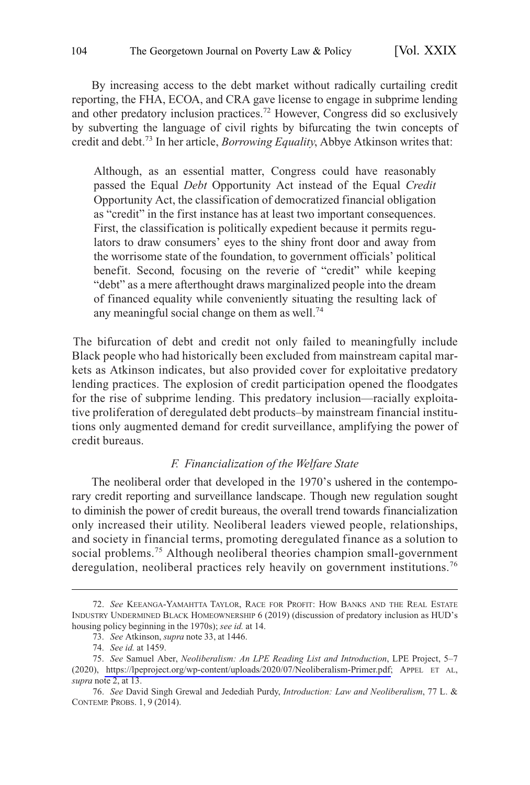<span id="page-11-0"></span>By increasing access to the debt market without radically curtailing credit reporting, the FHA, ECOA, and CRA gave license to engage in subprime lending and other predatory inclusion practices.72 However, Congress did so exclusively by subverting the language of civil rights by bifurcating the twin concepts of credit and debt.73 In her article, *Borrowing Equality*, Abbye Atkinson writes that:

Although, as an essential matter, Congress could have reasonably passed the Equal *Debt* Opportunity Act instead of the Equal *Credit*  Opportunity Act, the classification of democratized financial obligation as "credit" in the first instance has at least two important consequences. First, the classification is politically expedient because it permits regulators to draw consumers' eyes to the shiny front door and away from the worrisome state of the foundation, to government officials' political benefit. Second, focusing on the reverie of "credit" while keeping "debt" as a mere afterthought draws marginalized people into the dream of financed equality while conveniently situating the resulting lack of any meaningful social change on them as well.<sup>74</sup>

The bifurcation of debt and credit not only failed to meaningfully include Black people who had historically been excluded from mainstream capital markets as Atkinson indicates, but also provided cover for exploitative predatory lending practices. The explosion of credit participation opened the floodgates for the rise of subprime lending. This predatory inclusion—racially exploitative proliferation of deregulated debt products–by mainstream financial institutions only augmented demand for credit surveillance, amplifying the power of credit bureaus.

## *F. Financialization of the Welfare State*

The neoliberal order that developed in the 1970's ushered in the contemporary credit reporting and surveillance landscape. Though new regulation sought to diminish the power of credit bureaus, the overall trend towards financialization only increased their utility. Neoliberal leaders viewed people, relationships, and society in financial terms, promoting deregulated finance as a solution to social problems.<sup>75</sup> Although neoliberal theories champion small-government deregulation, neoliberal practices rely heavily on government institutions.<sup>76</sup>

<sup>72.</sup> *See* KEEANGA-YAMAHTTA TAYLOR, RACE FOR PROFIT: HOW BANKS AND THE REAL ESTATE INDUSTRY UNDERMINED BLACK HOMEOWNERSHIP 6 (2019) (discussion of predatory inclusion as HUD's housing policy beginning in the 1970s); *see id.* at 14.

<sup>73.</sup> *See* Atkinson, *supra* note 33, at 1446.

<sup>74.</sup> *See id.* at 1459.

*See* Samuel Aber, *Neoliberalism: An LPE Reading List and Introduction*, LPE Project, 5–7 75. (2020), <https://lpeproject.org/wp-content/uploads/2020/07/Neoliberalism-Primer.pdf>; APPEL ET AL, *supra* note 2, at 13.

<sup>76.</sup> *See* David Singh Grewal and Jedediah Purdy, *Introduction: Law and Neoliberalism*, 77 L. & CONTEMP. PROBS. 1, 9 (2014).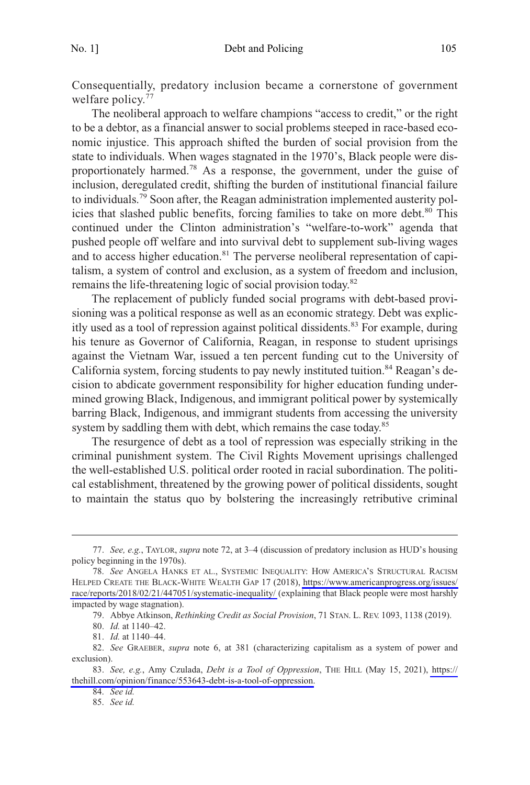Consequentially, predatory inclusion became a cornerstone of government welfare policy.<sup>77</sup>

The neoliberal approach to welfare champions "access to credit," or the right to be a debtor, as a financial answer to social problems steeped in race-based economic injustice. This approach shifted the burden of social provision from the state to individuals. When wages stagnated in the 1970's, Black people were disproportionately harmed.<sup>78</sup> As a response, the government, under the guise of inclusion, deregulated credit, shifting the burden of institutional financial failure to individuals.79 Soon after, the Reagan administration implemented austerity policies that slashed public benefits, forcing families to take on more debt.<sup>80</sup> This continued under the Clinton administration's "welfare-to-work" agenda that pushed people off welfare and into survival debt to supplement sub-living wages and to access higher education.<sup>81</sup> The perverse neoliberal representation of capitalism, a system of control and exclusion, as a system of freedom and inclusion, remains the life-threatening logic of social provision today.82

The replacement of publicly funded social programs with debt-based provisioning was a political response as well as an economic strategy. Debt was explicitly used as a tool of repression against political dissidents.<sup>83</sup> For example, during his tenure as Governor of California, Reagan, in response to student uprisings against the Vietnam War, issued a ten percent funding cut to the University of California system, forcing students to pay newly instituted tuition.<sup>84</sup> Reagan's decision to abdicate government responsibility for higher education funding undermined growing Black, Indigenous, and immigrant political power by systemically barring Black, Indigenous, and immigrant students from accessing the university system by saddling them with debt, which remains the case today.<sup>85</sup>

The resurgence of debt as a tool of repression was especially striking in the criminal punishment system. The Civil Rights Movement uprisings challenged the well-established U.S. political order rooted in racial subordination. The political establishment, threatened by the growing power of political dissidents, sought to maintain the status quo by bolstering the increasingly retributive criminal

<sup>77.</sup> *See, e.g.*, TAYLOR, *supra* note 72, at 3–4 (discussion of predatory inclusion as HUD's housing policy beginning in the 1970s).

*See* ANGELA HANKS ET AL., SYSTEMIC INEQUALITY: HOW AMERICA'S STRUCTURAL RACISM 78. HELPED CREATE THE BLACK-WHITE WEALTH GAP 17 (2018), [https://www.americanprogress.org/issues/](https://www.americanprogress.org/issues/race/reports/2018/02/21/447051/systematic-inequality/)  [race/reports/2018/02/21/447051/systematic-inequality/](https://www.americanprogress.org/issues/race/reports/2018/02/21/447051/systematic-inequality/) (explaining that Black people were most harshly impacted by wage stagnation).

<sup>79.</sup> Abbye Atkinson, *Rethinking Credit as Social Provision*, 71 STAN. L. REV. 1093, 1138 (2019).

<sup>80.</sup> *Id.* at 1140–42.

<sup>81.</sup> *Id.* at 1140–44.

<sup>82.</sup> *See* GRAEBER, *supra* note 6, at 381 (characterizing capitalism as a system of power and exclusion).

*See, e.g.*, Amy Czulada, *Debt is a Tool of Oppression*, THE HILL (May 15, 2021), [https://](https://thehill.com/opinion/finance/553643-debt-is-a-tool-of-oppression)  83. [thehill.com/opinion/finance/553643-debt-is-a-tool-of-oppression.](https://thehill.com/opinion/finance/553643-debt-is-a-tool-of-oppression)

<sup>84.</sup> *See id.* 

<sup>85.</sup> *See id.*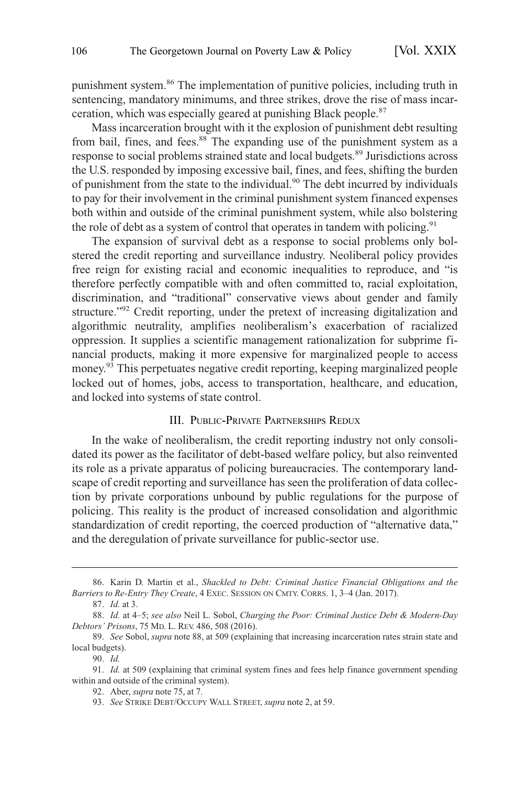<span id="page-13-0"></span>punishment system.86 The implementation of punitive policies, including truth in sentencing, mandatory minimums, and three strikes, drove the rise of mass incarceration, which was especially geared at punishing Black people.87

Mass incarceration brought with it the explosion of punishment debt resulting from bail, fines, and fees.<sup>88</sup> The expanding use of the punishment system as a response to social problems strained state and local budgets.89 Jurisdictions across the U.S. responded by imposing excessive bail, fines, and fees, shifting the burden of punishment from the state to the individual.90 The debt incurred by individuals to pay for their involvement in the criminal punishment system financed expenses both within and outside of the criminal punishment system, while also bolstering the role of debt as a system of control that operates in tandem with policing.<sup>91</sup>

The expansion of survival debt as a response to social problems only bolstered the credit reporting and surveillance industry. Neoliberal policy provides free reign for existing racial and economic inequalities to reproduce, and "is therefore perfectly compatible with and often committed to, racial exploitation, discrimination, and "traditional" conservative views about gender and family structure.<sup>"92</sup> Credit reporting, under the pretext of increasing digitalization and algorithmic neutrality, amplifies neoliberalism's exacerbation of racialized oppression. It supplies a scientific management rationalization for subprime financial products, making it more expensive for marginalized people to access money.<sup>93</sup> This perpetuates negative credit reporting, keeping marginalized people locked out of homes, jobs, access to transportation, healthcare, and education, and locked into systems of state control.

#### III. PUBLIC-PRIVATE PARTNERSHIPS REDUX

In the wake of neoliberalism, the credit reporting industry not only consolidated its power as the facilitator of debt-based welfare policy, but also reinvented its role as a private apparatus of policing bureaucracies. The contemporary landscape of credit reporting and surveillance has seen the proliferation of data collection by private corporations unbound by public regulations for the purpose of policing. This reality is the product of increased consolidation and algorithmic standardization of credit reporting, the coerced production of "alternative data," and the deregulation of private surveillance for public-sector use.

90. *Id.* 

<sup>86.</sup> Karin D. Martin et al., *Shackled to Debt: Criminal Justice Financial Obligations and the Barriers to Re-Entry They Create*, 4 EXEC. SESSION ON CMTY. CORRS. 1, 3–4 (Jan. 2017).

<sup>87.</sup> *Id.* at 3.

<sup>88.</sup> *Id.* at 4–5; *see also* Neil L. Sobol, *Charging the Poor: Criminal Justice Debt & Modern-Day Debtors' Prisons*, 75 MD. L. REV. 486, 508 (2016).

<sup>89.</sup> *See* Sobol, *supra* note 88, at 509 (explaining that increasing incarceration rates strain state and local budgets).

<sup>91.</sup> *Id.* at 509 (explaining that criminal system fines and fees help finance government spending within and outside of the criminal system).

<sup>92.</sup> Aber, *supra* note 75, at 7.

<sup>93.</sup> *See* STRIKE DEBT/OCCUPY WALL STREET, *supra* note 2, at 59.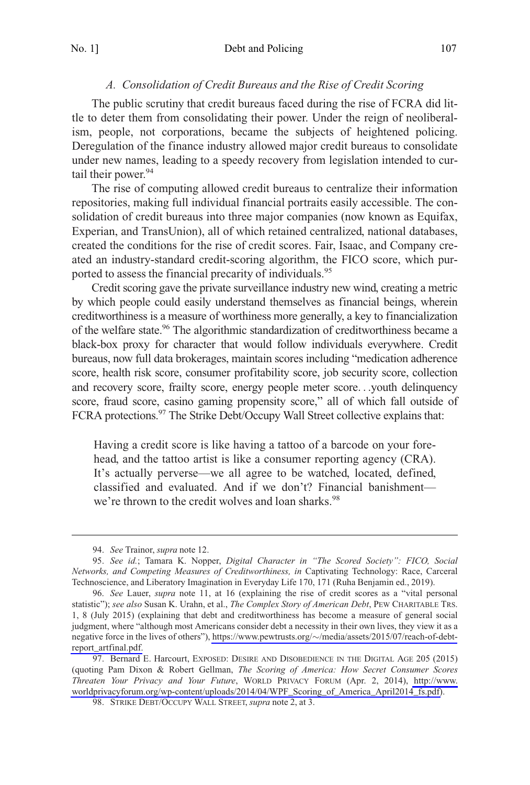## *A. Consolidation of Credit Bureaus and the Rise of Credit Scoring*

<span id="page-14-0"></span>The public scrutiny that credit bureaus faced during the rise of FCRA did little to deter them from consolidating their power. Under the reign of neoliberalism, people, not corporations, became the subjects of heightened policing. Deregulation of the finance industry allowed major credit bureaus to consolidate under new names, leading to a speedy recovery from legislation intended to curtail their power.<sup>94</sup>

The rise of computing allowed credit bureaus to centralize their information repositories, making full individual financial portraits easily accessible. The consolidation of credit bureaus into three major companies (now known as Equifax, Experian, and TransUnion), all of which retained centralized, national databases, created the conditions for the rise of credit scores. Fair, Isaac, and Company created an industry-standard credit-scoring algorithm, the FICO score, which purported to assess the financial precarity of individuals.<sup>95</sup>

Credit scoring gave the private surveillance industry new wind, creating a metric by which people could easily understand themselves as financial beings, wherein creditworthiness is a measure of worthiness more generally, a key to financialization of the welfare state.<sup>96</sup> The algorithmic standardization of creditworthiness became a black-box proxy for character that would follow individuals everywhere. Credit bureaus, now full data brokerages, maintain scores including "medication adherence score, health risk score, consumer profitability score, job security score, collection and recovery score, frailty score, energy people meter score. . .youth delinquency score, fraud score, casino gaming propensity score," all of which fall outside of FCRA protections.<sup>97</sup> The Strike Debt/Occupy Wall Street collective explains that:

Having a credit score is like having a tattoo of a barcode on your forehead, and the tattoo artist is like a consumer reporting agency (CRA). It's actually perverse—we all agree to be watched, located, defined, classified and evaluated. And if we don't? Financial banishment we're thrown to the credit wolves and loan sharks.<sup>98</sup>

<sup>94.</sup> *See* Trainor, *supra* note 12.

<sup>95.</sup> *See id.*; Tamara K. Nopper, *Digital Character in "The Scored Society": FICO, Social Networks, and Competing Measures of Creditworthiness, in* Captivating Technology: Race, Carceral Technoscience, and Liberatory Imagination in Everyday Life 170, 171 (Ruha Benjamin ed., 2019).

*See* Lauer, *supra* note 11, at 16 (explaining the rise of credit scores as a "vital personal 96. statistic"); *see also* Susan K. Urahn, et al., *The Complex Story of American Debt*, PEW CHARITABLE TRS. 1, 8 (July 2015) (explaining that debt and creditworthiness has become a measure of general social judgment, where "although most Americans consider debt a necessity in their own lives, they view it as a negative force in the lives of others"), https://www.pewtrusts.org/~[/media/assets/2015/07/reach-of-debt](https://www.pewtrusts.org/~/media/assets/2015/07/reach-of-debt-report_artfinal.pdf)[report\\_artfinal.pdf.](https://www.pewtrusts.org/~/media/assets/2015/07/reach-of-debt-report_artfinal.pdf)

<sup>97.</sup> Bernard E. Harcourt, EXPOSED: DESIRE AND DISOBEDIENCE IN THE DIGITAL AGE 205 (2015) (quoting Pam Dixon & Robert Gellman, *The Scoring of America: How Secret Consumer Scores Threaten Your Privacy and Your Future*, WORLD PRIVACY FORUM (Apr. 2, 2014), [http://www.](http://www.worldprivacyforum.org/wp-content/uploads/2014/04/WPF_Scoring_of_America_April2014_fs.pdf) [worldprivacyforum.org/wp-content/uploads/2014/04/WPF\\_Scoring\\_of\\_America\\_April2014\\_fs.pdf\)](http://www.worldprivacyforum.org/wp-content/uploads/2014/04/WPF_Scoring_of_America_April2014_fs.pdf).

<sup>98.</sup> STRIKE DEBT/OCCUPY WALL STREET, *supra* note 2, at 3.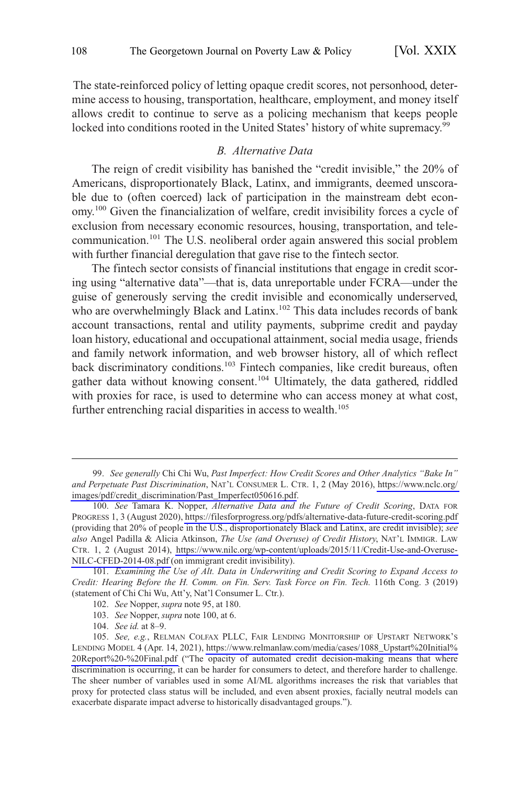<span id="page-15-0"></span>The state-reinforced policy of letting opaque credit scores, not personhood, determine access to housing, transportation, healthcare, employment, and money itself allows credit to continue to serve as a policing mechanism that keeps people locked into conditions rooted in the United States' history of white supremacy.<sup>99</sup>

### *B. Alternative Data*

The reign of credit visibility has banished the "credit invisible," the 20% of Americans, disproportionately Black, Latinx, and immigrants, deemed unscorable due to (often coerced) lack of participation in the mainstream debt economy.<sup>100</sup> Given the financialization of welfare, credit invisibility forces a cycle of exclusion from necessary economic resources, housing, transportation, and telecommunication.101 The U.S. neoliberal order again answered this social problem with further financial deregulation that gave rise to the fintech sector.

The fintech sector consists of financial institutions that engage in credit scoring using "alternative data"—that is, data unreportable under FCRA—under the guise of generously serving the credit invisible and economically underserved, who are overwhelmingly Black and Latinx.<sup>102</sup> This data includes records of bank account transactions, rental and utility payments, subprime credit and payday loan history, educational and occupational attainment, social media usage, friends and family network information, and web browser history, all of which reflect back discriminatory conditions.<sup>103</sup> Fintech companies, like credit bureaus, often gather data without knowing consent.<sup>104</sup> Ultimately, the data gathered, riddled with proxies for race, is used to determine who can access money at what cost, further entrenching racial disparities in access to wealth.<sup>105</sup>

*See generally* Chi Chi Wu, *Past Imperfect: How Credit Scores and Other Analytics "Bake In"*  99. *and Perpetuate Past Discrimination*, NAT'L CONSUMER L. CTR. 1, 2 (May 2016), [https://www.nclc.org/](https://www.nclc.org/images/pdf/credit_discrimination/Past_Imperfect050616.pdf)  [images/pdf/credit\\_discrimination/Past\\_Imperfect050616.pdf](https://www.nclc.org/images/pdf/credit_discrimination/Past_Imperfect050616.pdf).

*See* Tamara K. Nopper, *Alternative Data and the Future of Credit Scoring*, DATA FOR 100. PROGRESS 1, 3 (August 2020),<https://filesforprogress.org/pdfs/alternative-data-future-credit-scoring.pdf> (providing that 20% of people in the U.S., disproportionately Black and Latinx, are credit invisible); *see also* Angel Padilla & Alicia Atkinson, *The Use (and Overuse) of Credit History*, NAT'L IMMIGR. LAW CTR. 1, 2 (August 2014), [https://www.nilc.org/wp-content/uploads/2015/11/Credit-Use-and-Overuse-](https://www.nilc.org/wp-content/uploads/2015/11/Credit-Use-and-Overuse-NILC-CFED-2014-08.pdf)[NILC-CFED-2014-08.pdf \(](https://www.nilc.org/wp-content/uploads/2015/11/Credit-Use-and-Overuse-NILC-CFED-2014-08.pdf)on immigrant credit invisibility).

<sup>101.</sup> *Examining the Use of Alt. Data in Underwriting and Credit Scoring to Expand Access to Credit: Hearing Before the H. Comm. on Fin. Serv. Task Force on Fin. Tech.* 116th Cong. 3 (2019) (statement of Chi Chi Wu, Att'y, Nat'l Consumer L. Ctr.).

<sup>102.</sup> *See* Nopper, *supra* note 95, at 180.

<sup>103.</sup> *See* Nopper, *supra* note 100, at 6.

<sup>104.</sup> *See id.* at 8–9.

<sup>105.</sup> *See, e.g.*, RELMAN COLFAX PLLC, FAIR LENDING MONITORSHIP OF UPSTART NETWORK'S LENDING MODEL 4 (Apr. 14, 2021), [https://www.relmanlaw.com/media/cases/1088\\_Upstart](https://www.relmanlaw.com/media/cases/1088_Upstart%20Initial%20Report%20-%20Final.pdf)%20Initial% 20Report%20-%[20Final.pdf](https://www.relmanlaw.com/media/cases/1088_Upstart%20Initial%20Report%20-%20Final.pdf) ("The opacity of automated credit decision-making means that where discrimination is occurring, it can be harder for consumers to detect, and therefore harder to challenge. The sheer number of variables used in some AI/ML algorithms increases the risk that variables that proxy for protected class status will be included, and even absent proxies, facially neutral models can exacerbate disparate impact adverse to historically disadvantaged groups.").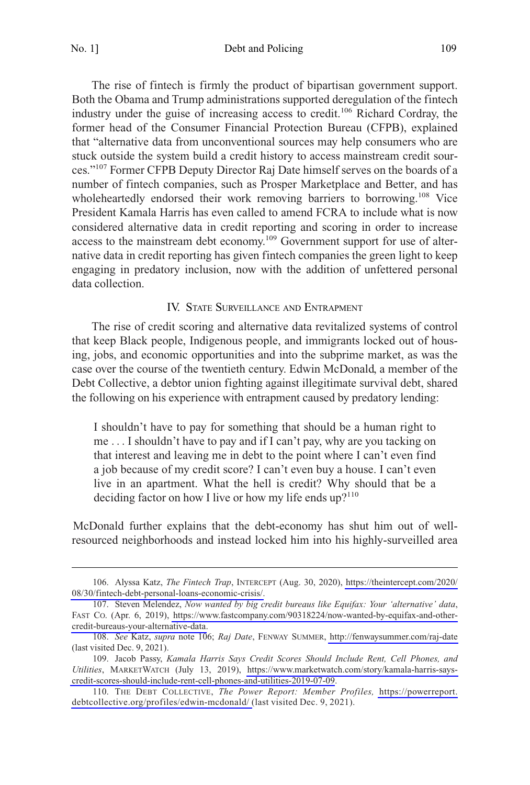<span id="page-16-0"></span>No. 1] Debt and Policing 109

The rise of fintech is firmly the product of bipartisan government support. Both the Obama and Trump administrations supported deregulation of the fintech industry under the guise of increasing access to credit.<sup>106</sup> Richard Cordray, the former head of the Consumer Financial Protection Bureau (CFPB), explained that "alternative data from unconventional sources may help consumers who are stuck outside the system build a credit history to access mainstream credit sources."<sup>107</sup> Former CFPB Deputy Director Raj Date himself serves on the boards of a number of fintech companies, such as Prosper Marketplace and Better, and has wholeheartedly endorsed their work removing barriers to borrowing.<sup>108</sup> Vice President Kamala Harris has even called to amend FCRA to include what is now considered alternative data in credit reporting and scoring in order to increase access to the mainstream debt economy.<sup>109</sup> Government support for use of alternative data in credit reporting has given fintech companies the green light to keep engaging in predatory inclusion, now with the addition of unfettered personal data collection.

#### IV. STATE SURVEILLANCE AND ENTRAPMENT

The rise of credit scoring and alternative data revitalized systems of control that keep Black people, Indigenous people, and immigrants locked out of housing, jobs, and economic opportunities and into the subprime market, as was the case over the course of the twentieth century. Edwin McDonald, a member of the Debt Collective, a debtor union fighting against illegitimate survival debt, shared the following on his experience with entrapment caused by predatory lending:

I shouldn't have to pay for something that should be a human right to me . . . I shouldn't have to pay and if I can't pay, why are you tacking on that interest and leaving me in debt to the point where I can't even find a job because of my credit score? I can't even buy a house. I can't even live in an apartment. What the hell is credit? Why should that be a deciding factor on how I live or how my life ends  $up^{110}$ 

McDonald further explains that the debt-economy has shut him out of wellresourced neighborhoods and instead locked him into his highly-surveilled area

Alyssa Katz, *The Fintech Trap*, INTERCEPT (Aug. 30, 2020), [https://theintercept.com/2020/](https://theintercept.com/2020/08/30/fintech-debt-personal-loans-economic-crisis/)  106. [08/30/fintech-debt-personal-loans-economic-crisis/.](https://theintercept.com/2020/08/30/fintech-debt-personal-loans-economic-crisis/)

<sup>107.</sup> Steven Melendez, *Now wanted by big credit bureaus like Equifax: Your 'alternative' data*, FAST CO. (Apr. 6, 2019), [https://www.fastcompany.com/90318224/now-wanted-by-equifax-and-other](https://www.fastcompany.com/90318224/now-wanted-by-equifax-and-other-credit-bureaus-your-alternative-data)[credit-bureaus-your-alternative-data.](https://www.fastcompany.com/90318224/now-wanted-by-equifax-and-other-credit-bureaus-your-alternative-data)

*See* Katz, *supra* note 106; *Raj Date*, FENWAY SUMMER,<http://fenwaysummer.com/raj-date> 108. (last visited Dec. 9, 2021).

<sup>109.</sup> Jacob Passy, *Kamala Harris Says Credit Scores Should Include Rent, Cell Phones, and Utilities*, MARKETWATCH (July 13, 2019), [https://www.marketwatch.com/story/kamala-harris-says](https://www.marketwatch.com/story/kamala-harris-says-credit-scores-should-include-rent-cell-phones-and-utilities-2019-07-09)[credit-scores-should-include-rent-cell-phones-and-utilities-2019-07-09](https://www.marketwatch.com/story/kamala-harris-says-credit-scores-should-include-rent-cell-phones-and-utilities-2019-07-09).

<sup>110.</sup> THE DEBT COLLECTIVE, *The Power Report: Member Profiles*, [https://powerreport.](https://powerreport.debtcollective.org/profiles/edwin-mcdonald/) [debtcollective.org/profiles/edwin-mcdonald/ \(](https://powerreport.debtcollective.org/profiles/edwin-mcdonald/)last visited Dec. 9, 2021).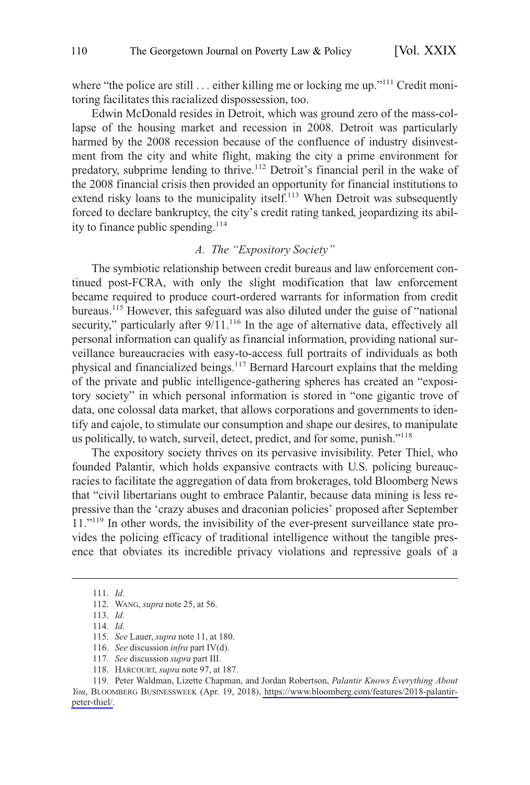<span id="page-17-0"></span>where "the police are still ... either killing me or locking me up."<sup>111</sup> Credit monitoring facilitates this racialized dispossession, too.

Edwin McDonald resides in Detroit, which was ground zero of the mass-collapse of the housing market and recession in 2008. Detroit was particularly harmed by the 2008 recession because of the confluence of industry disinvestment from the city and white flight, making the city a prime environment for predatory, subprime lending to thrive.<sup>112</sup> Detroit's financial peril in the wake of the 2008 financial crisis then provided an opportunity for financial institutions to extend risky loans to the municipality itself.<sup>113</sup> When Detroit was subsequently forced to declare bankruptcy, the city's credit rating tanked, jeopardizing its ability to finance public spending.<sup>114</sup>

## *A. The "Expository Society"*

The symbiotic relationship between credit bureaus and law enforcement continued post-FCRA, with only the slight modification that law enforcement became required to produce court-ordered warrants for information from credit bureaus.115 However, this safeguard was also diluted under the guise of "national security," particularly after  $9/11$ .<sup>116</sup> In the age of alternative data, effectively all personal information can qualify as financial information, providing national surveillance bureaucracies with easy-to-access full portraits of individuals as both physical and financialized beings.<sup>117</sup> Bernard Harcourt explains that the melding of the private and public intelligence-gathering spheres has created an "expository society" in which personal information is stored in "one gigantic trove of data, one colossal data market, that allows corporations and governments to identify and cajole, to stimulate our consumption and shape our desires, to manipulate us politically, to watch, surveil, detect, predict, and for some, punish."<sup>118</sup>

The expository society thrives on its pervasive invisibility. Peter Thiel, who founded Palantir, which holds expansive contracts with U.S. policing bureaucracies to facilitate the aggregation of data from brokerages, told Bloomberg News that "civil libertarians ought to embrace Palantir, because data mining is less repressive than the 'crazy abuses and draconian policies' proposed after September 11."<sup>119</sup> In other words, the invisibility of the ever-present surveillance state provides the policing efficacy of traditional intelligence without the tangible presence that obviates its incredible privacy violations and repressive goals of a

<sup>111.</sup> *Id.* 

<sup>112.</sup> WANG, *supra* note 25, at 56.

<sup>113.</sup> *Id.* 

<sup>114.</sup> *Id.* 

<sup>115.</sup> *See* Lauer, *supra* note 11, at 180.

<sup>116.</sup> *See* discussion *infra* part IV(d).

<sup>117.</sup> *See* discussion *supra* part III.

<sup>118.</sup> HARCOURT, *supra* note 97, at 187.

Peter Waldman, Lizette Chapman, and Jordan Robertson, *Palantir Knows Everything About*  119. *You*, BLOOMBERG BUSINESSWEEK (Apr. 19, 2018), [https://www.bloomberg.com/features/2018-palantir](https://www.bloomberg.com/features/2018-palantir-peter-thiel/)[peter-thiel/.](https://www.bloomberg.com/features/2018-palantir-peter-thiel/)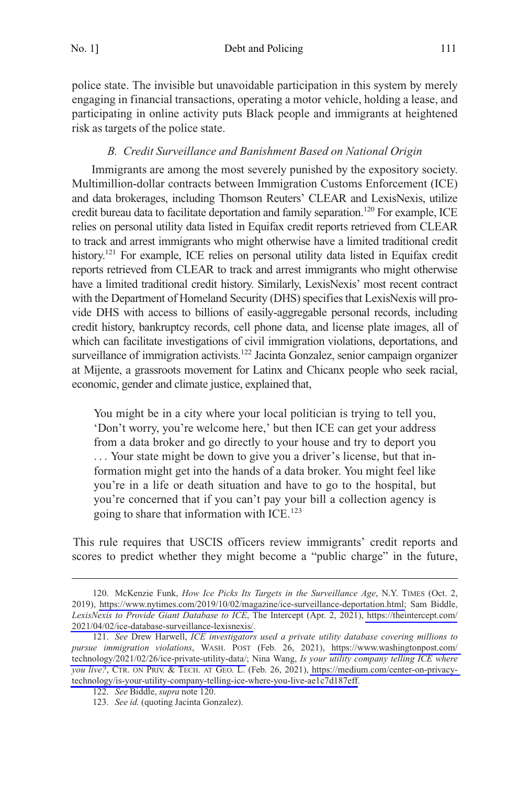<span id="page-18-0"></span>police state. The invisible but unavoidable participation in this system by merely engaging in financial transactions, operating a motor vehicle, holding a lease, and participating in online activity puts Black people and immigrants at heightened risk as targets of the police state.

# *B. Credit Surveillance and Banishment Based on National Origin*

Immigrants are among the most severely punished by the expository society. Multimillion-dollar contracts between Immigration Customs Enforcement (ICE) and data brokerages, including Thomson Reuters' CLEAR and LexisNexis, utilize credit bureau data to facilitate deportation and family separation.<sup>120</sup> For example, ICE relies on personal utility data listed in Equifax credit reports retrieved from CLEAR to track and arrest immigrants who might otherwise have a limited traditional credit history.<sup>121</sup> For example, ICE relies on personal utility data listed in Equifax credit reports retrieved from CLEAR to track and arrest immigrants who might otherwise have a limited traditional credit history. Similarly, LexisNexis' most recent contract with the Department of Homeland Security (DHS) specifies that LexisNexis will provide DHS with access to billions of easily-aggregable personal records, including credit history, bankruptcy records, cell phone data, and license plate images, all of which can facilitate investigations of civil immigration violations, deportations, and surveillance of immigration activists.<sup>122</sup> Jacinta Gonzalez, senior campaign organizer at Mijente, a grassroots movement for Latinx and Chicanx people who seek racial, economic, gender and climate justice, explained that,

You might be in a city where your local politician is trying to tell you, 'Don't worry, you're welcome here,' but then ICE can get your address from a data broker and go directly to your house and try to deport you . . . Your state might be down to give you a driver's license, but that information might get into the hands of a data broker. You might feel like you're in a life or death situation and have to go to the hospital, but you're concerned that if you can't pay your bill a collection agency is going to share that information with ICE.<sup>123</sup>

This rule requires that USCIS officers review immigrants' credit reports and scores to predict whether they might become a "public charge" in the future,

<sup>120.</sup> McKenzie Funk, *How Ice Picks Its Targets in the Surveillance Age*, N.Y. TIMES (Oct. 2, 2019), [https://www.nytimes.com/2019/10/02/magazine/ice-surveillance-deportation.html;](https://www.nytimes.com/2019/10/02/magazine/ice-surveillance-deportation.html) Sam Biddle, *LexisNexis to Provide Giant Database to ICE*, The Intercept (Apr. 2, 2021), [https://theintercept.com/](https://theintercept.com/2021/04/02/ice-database-surveillance-lexisnexis/)  [2021/04/02/ice-database-surveillance-lexisnexis/](https://theintercept.com/2021/04/02/ice-database-surveillance-lexisnexis/).

<sup>121.</sup> See Drew Harwell, *ICE investigators used a private utility database covering millions to pursue immigration violations*, WASH. POST (Feb. 26, 2021), [https://www.washingtonpost.com/](https://www.washingtonpost.com/technology/2021/02/26/ice-private-utility-data/)  [technology/2021/02/26/ice-private-utility-data/](https://www.washingtonpost.com/technology/2021/02/26/ice-private-utility-data/); Nina Wang, *Is your utility company telling ICE where you live?*, CTR. ON PRIV. & TECH. AT GEO. L. (Feb. 26, 2021), [https://medium.com/center-on-privacy](https://medium.com/center-on-privacy-technology/is-your-utility-company-telling-ice-where-you-live-ae1c7d187eff)[technology/is-your-utility-company-telling-ice-where-you-live-ae1c7d187eff](https://medium.com/center-on-privacy-technology/is-your-utility-company-telling-ice-where-you-live-ae1c7d187eff).

<sup>122.</sup> *See* Biddle, *supra* note 120.

<sup>123.</sup> *See id.* (quoting Jacinta Gonzalez).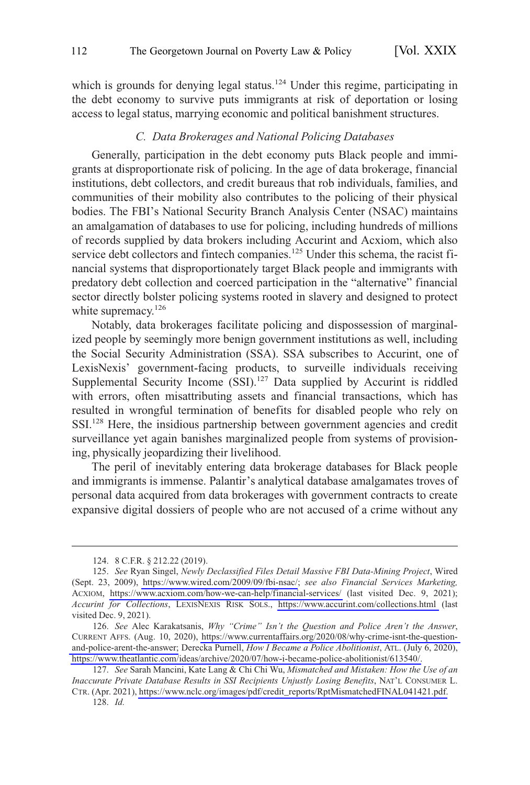<span id="page-19-0"></span>which is grounds for denying legal status.<sup>124</sup> Under this regime, participating in the debt economy to survive puts immigrants at risk of deportation or losing access to legal status, marrying economic and political banishment structures.

## *C. Data Brokerages and National Policing Databases*

Generally, participation in the debt economy puts Black people and immigrants at disproportionate risk of policing. In the age of data brokerage, financial institutions, debt collectors, and credit bureaus that rob individuals, families, and communities of their mobility also contributes to the policing of their physical bodies. The FBI's National Security Branch Analysis Center (NSAC) maintains an amalgamation of databases to use for policing, including hundreds of millions of records supplied by data brokers including Accurint and Acxiom, which also service debt collectors and fintech companies.<sup>125</sup> Under this schema, the racist financial systems that disproportionately target Black people and immigrants with predatory debt collection and coerced participation in the "alternative" financial sector directly bolster policing systems rooted in slavery and designed to protect white supremacy.<sup>126</sup>

Notably, data brokerages facilitate policing and dispossession of marginalized people by seemingly more benign government institutions as well, including the Social Security Administration (SSA). SSA subscribes to Accurint, one of LexisNexis' government-facing products, to surveille individuals receiving Supplemental Security Income (SSI).<sup>127</sup> Data supplied by Accurint is riddled with errors, often misattributing assets and financial transactions, which has resulted in wrongful termination of benefits for disabled people who rely on SSI.128 Here, the insidious partnership between government agencies and credit surveillance yet again banishes marginalized people from systems of provisioning, physically jeopardizing their livelihood.

The peril of inevitably entering data brokerage databases for Black people and immigrants is immense. Palantir's analytical database amalgamates troves of personal data acquired from data brokerages with government contracts to create expansive digital dossiers of people who are not accused of a crime without any

128. *Id.* 

<sup>124. 8</sup> C.F.R. § 212.22 (2019).

*See* Ryan Singel, *Newly Declassified Files Detail Massive FBI Data-Mining Project*, Wired 125. (Sept. 23, 2009), <https://www.wired.com/2009/09/fbi-nsac/>; *see also Financial Services Marketing,*  ACXIOM, <https://www.acxiom.com/how-we-can-help/financial-services/>(last visited Dec. 9, 2021); *Accurint for Collections*, LEXISNEXIS RISK SOLS., <https://www.accurint.com/collections.html>(last visited Dec. 9, 2021).

*See* Alec Karakatsanis, *Why "Crime" Isn't the Question and Police Aren't the Answer*, 126. CURRENT AFFS. (Aug. 10, 2020), [https://www.currentaffairs.org/2020/08/why-crime-isnt-the-question](https://www.currentaffairs.org/2020/08/why-crime-isnt-the-question-and-police-arent-the-answer)[and-police-arent-the-answer;](https://www.currentaffairs.org/2020/08/why-crime-isnt-the-question-and-police-arent-the-answer) Derecka Purnell, *How I Became a Police Abolitionist*, ATL. (July 6, 2020), [https://www.theatlantic.com/ideas/archive/2020/07/how-i-became-police-abolitionist/613540/.](https://www.theatlantic.com/ideas/archive/2020/07/how-i-became-police-abolitionist/613540/)

*See* Sarah Mancini, Kate Lang & Chi Chi Wu, *Mismatched and Mistaken: How the Use of an*  127. *Inaccurate Private Database Results in SSI Recipients Unjustly Losing Benefits*, NAT'L CONSUMER L. CTR. (Apr. 2021), [https://www.nclc.org/images/pdf/credit\\_reports/RptMismatchedFINAL041421.pdf.](https://www.nclc.org/images/pdf/credit_reports/RptMismatchedFINAL041421.pdf)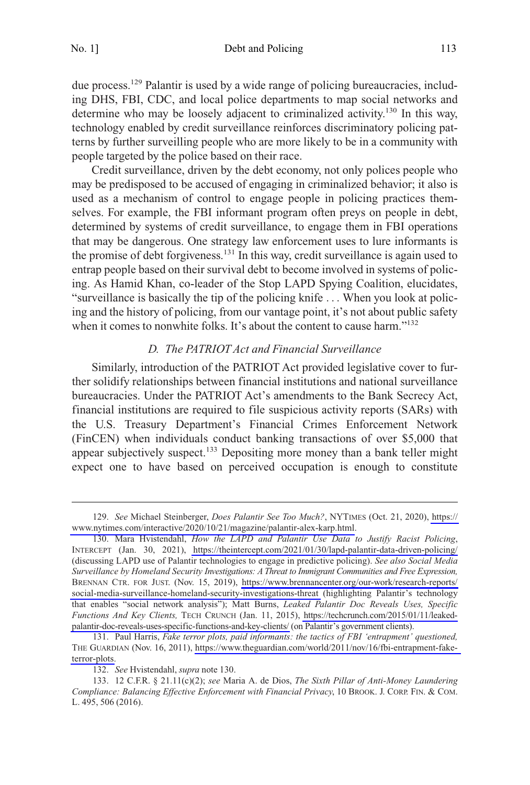<span id="page-20-0"></span>due process.<sup>129</sup> Palantir is used by a wide range of policing bureaucracies, including DHS, FBI, CDC, and local police departments to map social networks and determine who may be loosely adjacent to criminalized activity.<sup>130</sup> In this way, technology enabled by credit surveillance reinforces discriminatory policing patterns by further surveilling people who are more likely to be in a community with people targeted by the police based on their race.

Credit surveillance, driven by the debt economy, not only polices people who may be predisposed to be accused of engaging in criminalized behavior; it also is used as a mechanism of control to engage people in policing practices themselves. For example, the FBI informant program often preys on people in debt, determined by systems of credit surveillance, to engage them in FBI operations that may be dangerous. One strategy law enforcement uses to lure informants is the promise of debt forgiveness.<sup>131</sup> In this way, credit surveillance is again used to entrap people based on their survival debt to become involved in systems of policing. As Hamid Khan, co-leader of the Stop LAPD Spying Coalition, elucidates, "surveillance is basically the tip of the policing knife . . . When you look at policing and the history of policing, from our vantage point, it's not about public safety when it comes to nonwhite folks. It's about the content to cause harm."<sup>132</sup>

## *D. The PATRIOT Act and Financial Surveillance*

Similarly, introduction of the PATRIOT Act provided legislative cover to further solidify relationships between financial institutions and national surveillance bureaucracies. Under the PATRIOT Act's amendments to the Bank Secrecy Act, financial institutions are required to file suspicious activity reports (SARs) with the U.S. Treasury Department's Financial Crimes Enforcement Network (FinCEN) when individuals conduct banking transactions of over \$5,000 that appear subjectively suspect.<sup>133</sup> Depositing more money than a bank teller might expect one to have based on perceived occupation is enough to constitute

*See* Michael Steinberger, *Does Palantir See Too Much?*, NYTIMES (Oct. 21, 2020), [https://](https://www.nytimes.com/interactive/2020/10/21/magazine/palantir-alex-karp.html)  129. [www.nytimes.com/interactive/2020/10/21/magazine/palantir-alex-karp.html](https://www.nytimes.com/interactive/2020/10/21/magazine/palantir-alex-karp.html).

<sup>130.</sup> Mara Hvistendahl, *How the LAPD and Palantir Use Data to Justify Racist Policing*, INTERCEPT (Jan. 30, 2021), <https://theintercept.com/2021/01/30/lapd-palantir-data-driven-policing/> (discussing LAPD use of Palantir technologies to engage in predictive policing). *See also Social Media Surveillance by Homeland Security Investigations: A Threat to Immigrant Communities and Free Expression,*  BRENNAN CTR. FOR JUST. (Nov. 15, 2019), [https://www.brennancenter.org/our-work/research-reports/](https://www.brennancenter.org/our-work/research-reports/social-media-surveillance-homeland-security-investigations-threat)  [social-media-surveillance-homeland-security-investigations-threat](https://www.brennancenter.org/our-work/research-reports/social-media-surveillance-homeland-security-investigations-threat) (highlighting Palantir's technology that enables "social network analysis"); Matt Burns, *Leaked Palantir Doc Reveals Uses, Specific Functions And Key Clients,* TECH CRUNCH (Jan. 11, 2015), [https://techcrunch.com/2015/01/11/leaked](https://techcrunch.com/2015/01/11/leaked-palantir-doc-reveals-uses-specific-functions-and-key-clients/)[palantir-doc-reveals-uses-specific-functions-and-key-clients/](https://techcrunch.com/2015/01/11/leaked-palantir-doc-reveals-uses-specific-functions-and-key-clients/) (on Palantir's government clients).

Paul Harris, *Fake terror plots, paid informants: the tactics of FBI 'entrapment' questioned,*  131. THE GUARDIAN (Nov. 16, 2011), [https://www.theguardian.com/world/2011/nov/16/fbi-entrapment-fake](https://www.theguardian.com/world/2011/nov/16/fbi-entrapment-fake-terror-plots)[terror-plots.](https://www.theguardian.com/world/2011/nov/16/fbi-entrapment-fake-terror-plots)

<sup>132.</sup> *See* Hvistendahl, *supra* note 130.

<sup>133. 12</sup> C.F.R. § 21.11(c)(2); *see* Maria A. de Dios, *The Sixth Pillar of Anti-Money Laundering Compliance: Balancing Effective Enforcement with Financial Privacy*, 10 BROOK. J. CORP. FIN. & COM. L. 495, 506 (2016).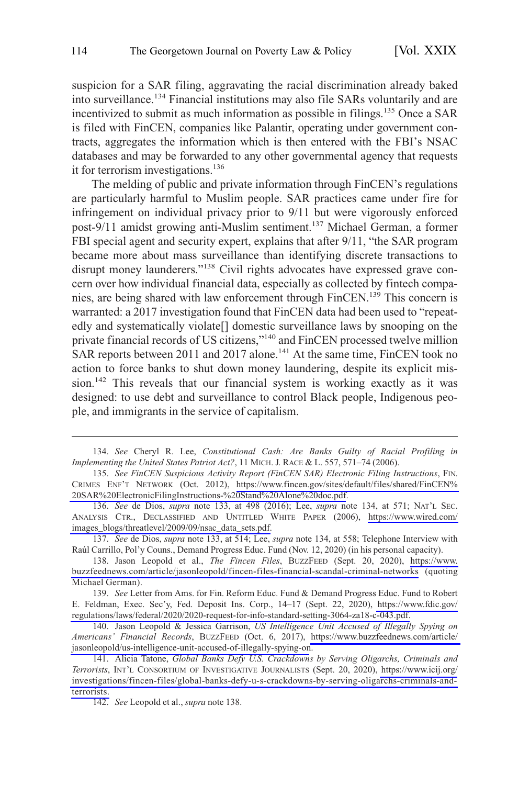suspicion for a SAR filing, aggravating the racial discrimination already baked into surveillance.134 Financial institutions may also file SARs voluntarily and are incentivized to submit as much information as possible in filings.<sup>135</sup> Once a SAR is filed with FinCEN, companies like Palantir, operating under government contracts, aggregates the information which is then entered with the FBI's NSAC databases and may be forwarded to any other governmental agency that requests it for terrorism investigations.<sup>136</sup>

The melding of public and private information through FinCEN's regulations are particularly harmful to Muslim people. SAR practices came under fire for infringement on individual privacy prior to 9/11 but were vigorously enforced post-9/11 amidst growing anti-Muslim sentiment.<sup>137</sup> Michael German, a former FBI special agent and security expert, explains that after 9/11, "the SAR program became more about mass surveillance than identifying discrete transactions to disrupt money launderers."<sup>138</sup> Civil rights advocates have expressed grave concern over how individual financial data, especially as collected by fintech companies, are being shared with law enforcement through FinCEN.139 This concern is warranted: a 2017 investigation found that FinCEN data had been used to "repeatedly and systematically violate[] domestic surveillance laws by snooping on the private financial records of US citizens,"<sup>140</sup> and FinCEN processed twelve million SAR reports between 2011 and 2017 alone.<sup>141</sup> At the same time, FinCEN took no action to force banks to shut down money laundering, despite its explicit mission.<sup>142</sup> This reveals that our financial system is working exactly as it was designed: to use debt and surveillance to control Black people, Indigenous people, and immigrants in the service of capitalism.

<sup>134.</sup> *See* Cheryl R. Lee, *Constitutional Cash: Are Banks Guilty of Racial Profiling in Implementing the United States Patriot Act?*, 11 MICH. J. RACE & L. 557, 571–74 (2006).

*See FinCEN Suspicious Activity Report (FinCEN SAR) Electronic Filing Instructions*, FIN. 135. CRIMES ENF'T NETWORK (Oct. 2012), [https://www.fincen.gov/sites/default/files/shared/FinCEN%](https://www.fincen.gov/sites/default/files/shared/FinCEN%20SAR%20ElectronicFilingInstructions-%20Stand%20Alone%20doc.pdf)  [20SAR%20ElectronicFilingInstructions-%20Stand%20Alone%20doc.pdf](https://www.fincen.gov/sites/default/files/shared/FinCEN%20SAR%20ElectronicFilingInstructions-%20Stand%20Alone%20doc.pdf).

*See* de Dios, *supra* note 133, at 498 (2016); Lee, *supra* note 134, at 571; NAT'L SEC. 136. ANALYSIS CTR., DECLASSIFIED AND UNTITLED WHITE PAPER (2006), [https://www.wired.com/](https://www.wired.com/images_blogs/threatlevel/2009/09/nsac_data_sets.pdf)  [images\\_blogs/threatlevel/2009/09/nsac\\_data\\_sets.pdf.](https://www.wired.com/images_blogs/threatlevel/2009/09/nsac_data_sets.pdf)

<sup>137.</sup> *See* de Dios, *supra* note 133, at 514; Lee, *supra* note 134, at 558; Telephone Interview with Raúl Carrillo, Pol'y Couns., Demand Progress Educ. Fund (Nov. 12, 2020) (in his personal capacity).

<sup>138.</sup> Jason Leopold et al., *The Fincen Files*, BUZZFEED (Sept. 20, 2020), https://www. [buzzfeednews.com/article/jasonleopold/fincen-files-financial-scandal-criminal-networks](https://www.buzzfeednews.com/article/jasonleopold/fincen-files-financial-scandal-criminal-networks) (quoting Michael German).

<sup>139.</sup> See Letter from Ams. for Fin. Reform Educ. Fund & Demand Progress Educ. Fund to Robert E. Feldman, Exec. Sec'y, Fed. Deposit Ins. Corp., 14–17 (Sept. 22, 2020), [https://www.fdic.gov/](https://www.fdic.gov/regulations/laws/federal/2020/2020-request-for-info-standard-setting-3064-za18-c-043.pdf)  [regulations/laws/federal/2020/2020-request-for-info-standard-setting-3064-za18-c-043.pdf.](https://www.fdic.gov/regulations/laws/federal/2020/2020-request-for-info-standard-setting-3064-za18-c-043.pdf)

<sup>140.</sup> Jason Leopold & Jessica Garrison, *US Intelligence Unit Accused of Illegally Spying on Americans' Financial Records*, BUZZFEED (Oct. 6, 2017), [https://www.buzzfeednews.com/article/](https://www.buzzfeednews.com/article/jasonleopold/us-intelligence-unit-accused-of-illegally-spying-on)  [jasonleopold/us-intelligence-unit-accused-of-illegally-spying-on](https://www.buzzfeednews.com/article/jasonleopold/us-intelligence-unit-accused-of-illegally-spying-on).

<sup>141.</sup> Alicia Tatone, *Global Banks Defy U.S. Crackdowns by Serving Oligarchs, Criminals and Terrorists*, INT'L CONSORTIUM OF INVESTIGATIVE JOURNALISTS (Sept. 20, 2020), [https://www.icij.org/](https://www.icij.org/investigations/fincen-files/global-banks-defy-u-s-crackdowns-by-serving-oligarchs-criminals-and-terrorists) [investigations/fincen-files/global-banks-defy-u-s-crackdowns-by-serving-oligarchs-criminals-and](https://www.icij.org/investigations/fincen-files/global-banks-defy-u-s-crackdowns-by-serving-oligarchs-criminals-and-terrorists)[terrorists.](https://www.icij.org/investigations/fincen-files/global-banks-defy-u-s-crackdowns-by-serving-oligarchs-criminals-and-terrorists)

<sup>142.</sup> *See* Leopold et al., *supra* note 138.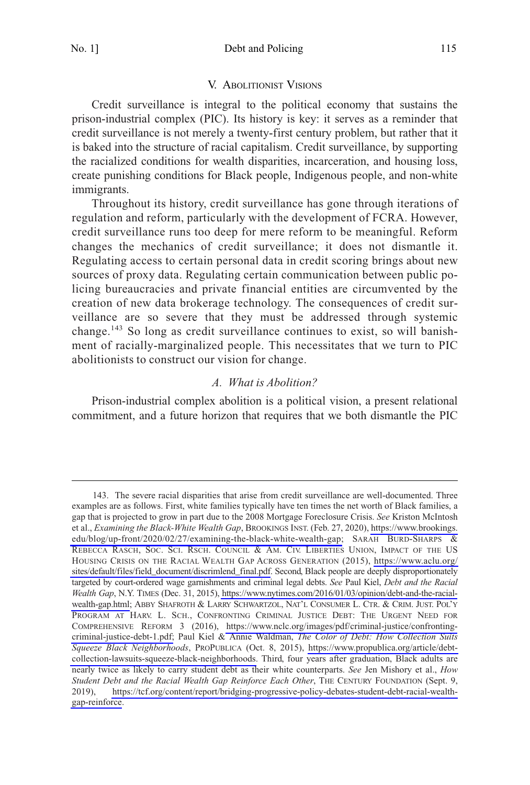#### V. ABOLITIONIST VISIONS

<span id="page-22-0"></span>Credit surveillance is integral to the political economy that sustains the prison-industrial complex (PIC). Its history is key: it serves as a reminder that credit surveillance is not merely a twenty-first century problem, but rather that it is baked into the structure of racial capitalism. Credit surveillance, by supporting the racialized conditions for wealth disparities, incarceration, and housing loss, create punishing conditions for Black people, Indigenous people, and non-white immigrants.

Throughout its history, credit surveillance has gone through iterations of regulation and reform, particularly with the development of FCRA. However, credit surveillance runs too deep for mere reform to be meaningful. Reform changes the mechanics of credit surveillance; it does not dismantle it. Regulating access to certain personal data in credit scoring brings about new sources of proxy data. Regulating certain communication between public policing bureaucracies and private financial entities are circumvented by the creation of new data brokerage technology. The consequences of credit surveillance are so severe that they must be addressed through systemic change.<sup>143</sup> So long as credit surveillance continues to exist, so will banishment of racially-marginalized people. This necessitates that we turn to PIC abolitionists to construct our vision for change.

#### *A. What is Abolition?*

Prison-industrial complex abolition is a political vision, a present relational commitment, and a future horizon that requires that we both dismantle the PIC

<sup>143.</sup> The severe racial disparities that arise from credit surveillance are well-documented. Three examples are as follows. First, white families typically have ten times the net worth of Black families, a gap that is projected to grow in part due to the 2008 Mortgage Foreclosure Crisis. *See* Kriston McIntosh et al., *Examining the Black-White Wealth Gap*, BROOKINGS INST. (Feb. 27, 2020), [https://www.brookings.](https://www.brookings.edu/blog/up-front/2020/02/27/examining-the-black-white-wealth-gap) [edu/blog/up-front/2020/02/27/examining-the-black-white-wealth-gap;](https://www.brookings.edu/blog/up-front/2020/02/27/examining-the-black-white-wealth-gap) SARAH BURD-SHARPS & REBECCA RASCH, SOC. SCI. RSCH. COUNCIL & AM. CIV. LIBERTIES UNION, IMPACT OF THE US HOUSING CRISIS ON THE RACIAL WEALTH GAP ACROSS GENERATION (2015), [https://www.aclu.org/](https://www.aclu.org/sites/default/files/field_document/discrimlend_final.pdf)  [sites/default/files/field\\_document/discrimlend\\_final.pdf](https://www.aclu.org/sites/default/files/field_document/discrimlend_final.pdf). Second, Black people are deeply disproportionately targeted by court-ordered wage garnishments and criminal legal debts. *See* Paul Kiel, *Debt and the Racial Wealth Gap*, N.Y. TIMES (Dec. 31, 2015), [https://www.nytimes.com/2016/01/03/opinion/debt-and-the-racial](https://www.nytimes.com/2016/01/03/opinion/debt-and-the-racial-wealth-gap.html)[wealth-gap.html;](https://www.nytimes.com/2016/01/03/opinion/debt-and-the-racial-wealth-gap.html) ABBY SHAFROTH & LARRY SCHWARTZOL, NAT'L CONSUMER L. CTR. & CRIM. JUST. POL'Y PROGRAM AT HARV. L. SCH., CONFRONTING CRIMINAL JUSTICE DEBT: THE URGENT NEED FOR COMPREHENSIVE REFORM 3 (2016), [https://www.nclc.org/images/pdf/criminal-justice/confronting](https://www.nclc.org/images/pdf/criminal-justice/confronting-criminal-justice-debt-1.pdf)[criminal-justice-debt-1.pdf;](https://www.nclc.org/images/pdf/criminal-justice/confronting-criminal-justice-debt-1.pdf) Paul Kiel & Annie Waldman, *The Color of Debt: How Collection Suits Squeeze Black Neighborhoods*, PROPUBLICA (Oct. 8, 2015), [https://www.propublica.org/article/debt](https://www.propublica.org/article/debt-collection-lawsuits-squeeze-black-neighborhoods)[collection-lawsuits-squeeze-black-neighborhoods.](https://www.propublica.org/article/debt-collection-lawsuits-squeeze-black-neighborhoods) Third, four years after graduation, Black adults are nearly twice as likely to carry student debt as their white counterparts. *See* Jen Mishory et al., *How Student Debt and the Racial Wealth Gap Reinforce Each Other*, THE CENTURY FOUNDATION (Sept. 9, 2019), [https://tcf.org/content/report/bridging-progressive-policy-debates-student-debt-racial-wealth](https://tcf.org/content/report/bridging-progressive-policy-debates-student-debt-racial-wealth-gap-reinforce.)[gap-reinforce.](https://tcf.org/content/report/bridging-progressive-policy-debates-student-debt-racial-wealth-gap-reinforce.)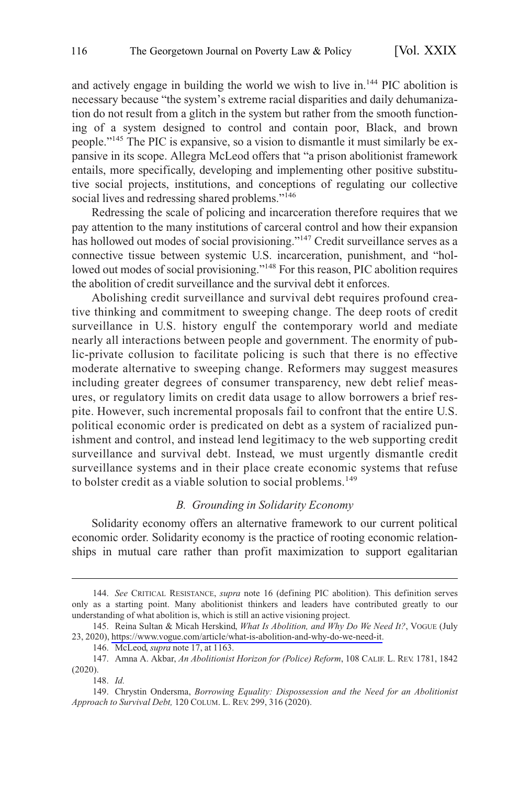<span id="page-23-0"></span>and actively engage in building the world we wish to live in.144 PIC abolition is necessary because "the system's extreme racial disparities and daily dehumanization do not result from a glitch in the system but rather from the smooth functioning of a system designed to control and contain poor, Black, and brown people."<sup>145</sup> The PIC is expansive, so a vision to dismantle it must similarly be expansive in its scope. Allegra McLeod offers that "a prison abolitionist framework entails, more specifically, developing and implementing other positive substitutive social projects, institutions, and conceptions of regulating our collective social lives and redressing shared problems."<sup>146</sup>

Redressing the scale of policing and incarceration therefore requires that we pay attention to the many institutions of carceral control and how their expansion has hollowed out modes of social provisioning."<sup>147</sup> Credit surveillance serves as a connective tissue between systemic U.S. incarceration, punishment, and "hollowed out modes of social provisioning."<sup>148</sup> For this reason, PIC abolition requires the abolition of credit surveillance and the survival debt it enforces.

Abolishing credit surveillance and survival debt requires profound creative thinking and commitment to sweeping change. The deep roots of credit surveillance in U.S. history engulf the contemporary world and mediate nearly all interactions between people and government. The enormity of public-private collusion to facilitate policing is such that there is no effective moderate alternative to sweeping change. Reformers may suggest measures including greater degrees of consumer transparency, new debt relief measures, or regulatory limits on credit data usage to allow borrowers a brief respite. However, such incremental proposals fail to confront that the entire U.S. political economic order is predicated on debt as a system of racialized punishment and control, and instead lend legitimacy to the web supporting credit surveillance and survival debt. Instead, we must urgently dismantle credit surveillance systems and in their place create economic systems that refuse to bolster credit as a viable solution to social problems.<sup>149</sup>

#### *B. Grounding in Solidarity Economy*

Solidarity economy offers an alternative framework to our current political economic order. Solidarity economy is the practice of rooting economic relationships in mutual care rather than profit maximization to support egalitarian

<sup>144.</sup> *See* CRITICAL RESISTANCE, *supra* note 16 (defining PIC abolition). This definition serves only as a starting point. Many abolitionist thinkers and leaders have contributed greatly to our understanding of what abolition is, which is still an active visioning project.

<sup>145.</sup> Reina Sultan & Micah Herskind, *What Is Abolition, and Why Do We Need It?*, VOGUE (July 23, 2020), [https://www.vogue.com/article/what-is-abolition-and-why-do-we-need-it.](https://www.vogue.com/article/what-is-abolition-and-why-do-we-need-it)

<sup>146.</sup> McLeod, *supra* note 17, at 1163.

<sup>147.</sup> Amna A. Akbar, *An Abolitionist Horizon for (Police) Reform*, 108 CALIF. L. REV. 1781, 1842 (2020).

<sup>148.</sup> *Id.* 

<sup>149.</sup> Chrystin Ondersma, *Borrowing Equality: Dispossession and the Need for an Abolitionist Approach to Survival Debt,* 120 COLUM. L. REV. 299, 316 (2020).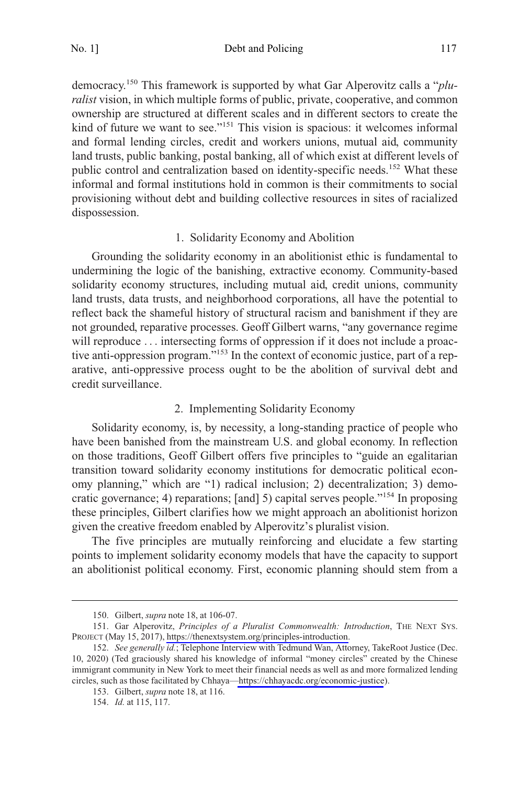<span id="page-24-0"></span>No. 1] Debt and Policing 117

democracy.150 This framework is supported by what Gar Alperovitz calls a "*pluralist* vision, in which multiple forms of public, private, cooperative, and common ownership are structured at different scales and in different sectors to create the kind of future we want to see."<sup>151</sup> This vision is spacious: it welcomes informal and formal lending circles, credit and workers unions, mutual aid, community land trusts, public banking, postal banking, all of which exist at different levels of public control and centralization based on identity-specific needs.<sup>152</sup> What these informal and formal institutions hold in common is their commitments to social provisioning without debt and building collective resources in sites of racialized dispossession.

#### 1. Solidarity Economy and Abolition

Grounding the solidarity economy in an abolitionist ethic is fundamental to undermining the logic of the banishing, extractive economy. Community-based solidarity economy structures, including mutual aid, credit unions, community land trusts, data trusts, and neighborhood corporations, all have the potential to reflect back the shameful history of structural racism and banishment if they are not grounded, reparative processes. Geoff Gilbert warns, "any governance regime will reproduce ... intersecting forms of oppression if it does not include a proactive anti-oppression program."<sup>153</sup> In the context of economic justice, part of a reparative, anti-oppressive process ought to be the abolition of survival debt and credit surveillance.

## 2. Implementing Solidarity Economy

Solidarity economy, is, by necessity, a long-standing practice of people who have been banished from the mainstream U.S. and global economy. In reflection on those traditions, Geoff Gilbert offers five principles to "guide an egalitarian transition toward solidarity economy institutions for democratic political economy planning," which are "1) radical inclusion; 2) decentralization; 3) democratic governance; 4) reparations; [and] 5) capital serves people."154 In proposing these principles, Gilbert clarifies how we might approach an abolitionist horizon given the creative freedom enabled by Alperovitz's pluralist vision.

The five principles are mutually reinforcing and elucidate a few starting points to implement solidarity economy models that have the capacity to support an abolitionist political economy. First, economic planning should stem from a

<sup>150.</sup> Gilbert, *supra* note 18, at 106-07.

<sup>151.</sup> Gar Alperovitz, Principles of a Pluralist Commonwealth: Introduction, THE NEXT SYS. PROJECT (May 15, 2017),<https://thenextsystem.org/principles-introduction>.

<sup>152.</sup> See generally id.; Telephone Interview with Tedmund Wan, Attorney, TakeRoot Justice (Dec. 10, 2020) (Ted graciously shared his knowledge of informal "money circles" created by the Chinese immigrant community in New York to meet their financial needs as well as and more formalized lending circles, such as those facilitated by Chhaya—<https://chhayacdc.org/economic-justice>).

<sup>153.</sup> Gilbert, *supra* note 18, at 116.

<sup>154.</sup> *Id.* at 115, 117.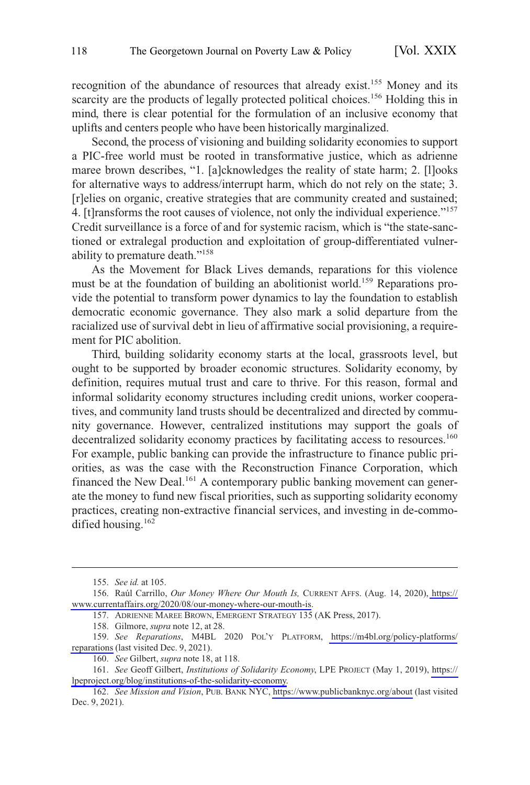recognition of the abundance of resources that already exist.155 Money and its scarcity are the products of legally protected political choices.<sup>156</sup> Holding this in mind, there is clear potential for the formulation of an inclusive economy that uplifts and centers people who have been historically marginalized.

Second, the process of visioning and building solidarity economies to support a PIC-free world must be rooted in transformative justice, which as adrienne maree brown describes, "1. [a]cknowledges the reality of state harm; 2. [1]ooks for alternative ways to address/interrupt harm, which do not rely on the state; 3. [r]elies on organic, creative strategies that are community created and sustained; 4. [t]ransforms the root causes of violence, not only the individual experience."<sup>157</sup> Credit surveillance is a force of and for systemic racism, which is "the state-sanctioned or extralegal production and exploitation of group-differentiated vulnerability to premature death."<sup>158</sup>

As the Movement for Black Lives demands, reparations for this violence must be at the foundation of building an abolitionist world.<sup>159</sup> Reparations provide the potential to transform power dynamics to lay the foundation to establish democratic economic governance. They also mark a solid departure from the racialized use of survival debt in lieu of affirmative social provisioning, a requirement for PIC abolition.

Third, building solidarity economy starts at the local, grassroots level, but ought to be supported by broader economic structures. Solidarity economy, by definition, requires mutual trust and care to thrive. For this reason, formal and informal solidarity economy structures including credit unions, worker cooperatives, and community land trusts should be decentralized and directed by community governance. However, centralized institutions may support the goals of decentralized solidarity economy practices by facilitating access to resources.<sup>160</sup> For example, public banking can provide the infrastructure to finance public priorities, as was the case with the Reconstruction Finance Corporation, which financed the New Deal.<sup>161</sup> A contemporary public banking movement can generate the money to fund new fiscal priorities, such as supporting solidarity economy practices, creating non-extractive financial services, and investing in de-commodified housing.<sup>162</sup>

<sup>155.</sup> *See id.* at 105.

<sup>156.</sup> Raúl Carrillo, Our Money Where Our Mouth Is, CURRENT AFFS. (Aug. 14, 2020), https:// [www.currentaffairs.org/2020/08/our-money-where-our-mouth-is.](https://www.currentaffairs.org/2020/08/our-money-where-our-mouth-is)

<sup>157.</sup> ADRIENNE MAREE BROWN, EMERGENT STRATEGY 135 (AK Press, 2017).

<sup>158.</sup> Gilmore, *supra* note 12, at 28.

*See Reparations*, M4BL 2020 POL'Y PLATFORM, [https://m4bl.org/policy-platforms/](https://m4bl.org/policy-platforms/reparations)  159. [reparations](https://m4bl.org/policy-platforms/reparations) (last visited Dec. 9, 2021).

<sup>160.</sup> *See* Gilbert, *supra* note 18, at 118.

<sup>161.</sup> See Geoff Gilbert, *Institutions of Solidarity Economy*, LPE PROJECT (May 1, 2019), https:// [lpeproject.org/blog/institutions-of-the-solidarity-economy.](https://lpeproject.org/blog/institutions-of-the-solidarity-economy)

<sup>162.</sup> *See Mission and Vision*, PUB. BANK NYC,<https://www.publicbanknyc.org/about>(last visited Dec. 9, 2021).